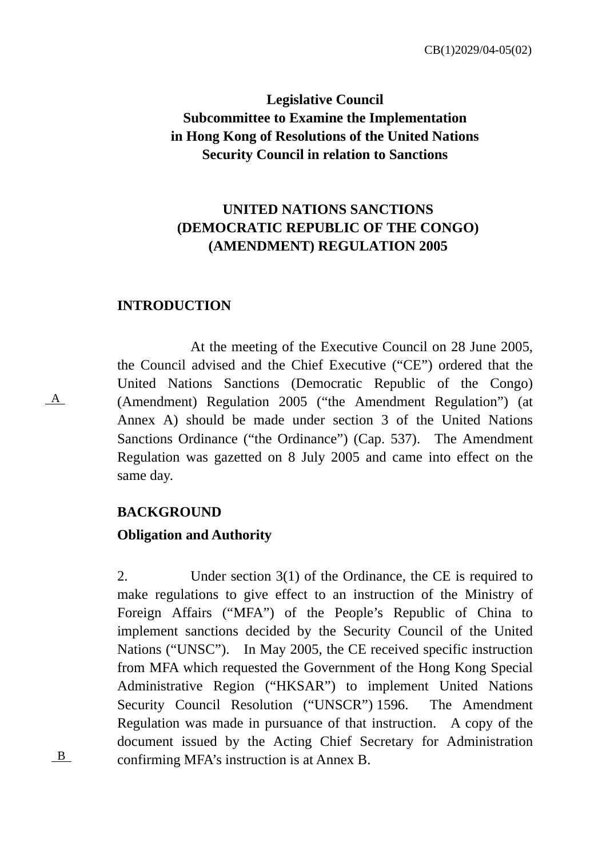CB(1)2029/04-05(02)

# **Legislative Council Subcommittee to Examine the Implementation in Hong Kong of Resolutions of the United Nations Security Council in relation to Sanctions**

# **UNITED NATIONS SANCTIONS (DEMOCRATIC REPUBLIC OF THE CONGO) (AMENDMENT) REGULATION 2005**

#### **INTRODUCTION**

At the meeting of the Executive Council on 28 June 2005, the Council advised and the Chief Executive ("CE") ordered that the United Nations Sanctions (Democratic Republic of the Congo) (Amendment) Regulation 2005 ("the Amendment Regulation") (at Annex A) should be made under section 3 of the United Nations Sanctions Ordinance ("the Ordinance") (Cap. 537). The Amendment Regulation was gazetted on 8 July 2005 and came into effect on the same day.

#### **BACKGROUND**

#### **Obligation and Authority**

2. Under section 3(1) of the Ordinance, the CE is required to make regulations to give effect to an instruction of the Ministry of Foreign Affairs ("MFA") of the People's Republic of China to implement sanctions decided by the Security Council of the United Nations ("UNSC"). In May 2005, the CE received specific instruction from MFA which requested the Government of the Hong Kong Special Administrative Region ("HKSAR") to implement United Nations Security Council Resolution ("UNSCR") 1596. The Amendment Regulation was made in pursuance of that instruction. A copy of the document issued by the Acting Chief Secretary for Administration  $\underline{B}$  confirming MFA's instruction is at Annex B.

A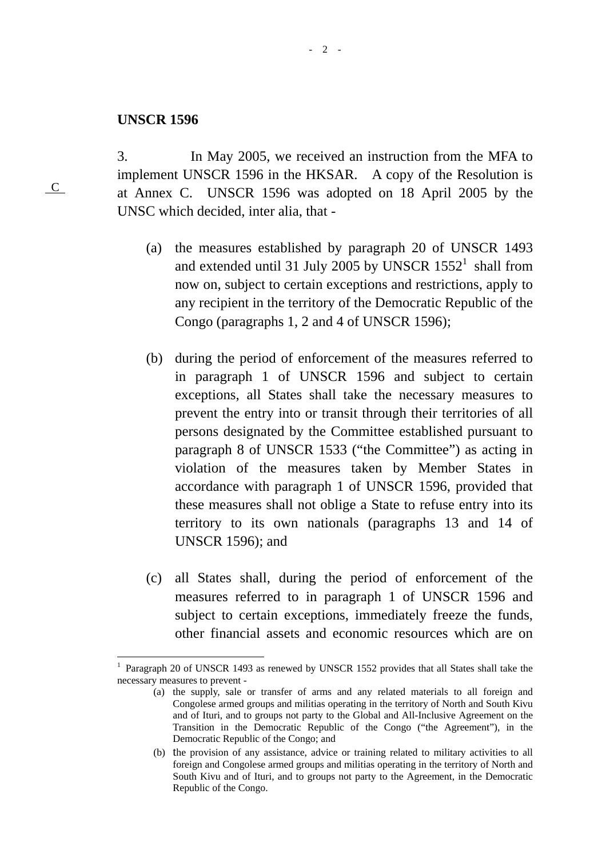#### **UNSCR 1596**

C

 $\overline{a}$ 

3. In May 2005, we received an instruction from the MFA to implement UNSCR 1596 in the HKSAR. A copy of the Resolution is at Annex C. UNSCR 1596 was adopted on 18 April 2005 by the UNSC which decided, inter alia, that -

- (a) the measures established by paragraph 20 of UNSCR 1493 and extended until 31 July 2005 by UNSCR  $1552<sup>1</sup>$  shall from now on, subject to certain exceptions and restrictions, apply to any recipient in the territory of the Democratic Republic of the Congo (paragraphs 1, 2 and 4 of UNSCR 1596);
- (b) during the period of enforcement of the measures referred to in paragraph 1 of UNSCR 1596 and subject to certain exceptions, all States shall take the necessary measures to prevent the entry into or transit through their territories of all persons designated by the Committee established pursuant to paragraph 8 of UNSCR 1533 ("the Committee") as acting in violation of the measures taken by Member States in accordance with paragraph 1 of UNSCR 1596, provided that these measures shall not oblige a State to refuse entry into its territory to its own nationals (paragraphs 13 and 14 of UNSCR 1596); and
- (c) all States shall, during the period of enforcement of the measures referred to in paragraph 1 of UNSCR 1596 and subject to certain exceptions, immediately freeze the funds, other financial assets and economic resources which are on

<sup>1</sup> Paragraph 20 of UNSCR 1493 as renewed by UNSCR 1552 provides that all States shall take the necessary measures to prevent -

<sup>(</sup>a) the supply, sale or transfer of arms and any related materials to all foreign and Congolese armed groups and militias operating in the territory of North and South Kivu and of Ituri, and to groups not party to the Global and All-Inclusive Agreement on the Transition in the Democratic Republic of the Congo ("the Agreement"), in the Democratic Republic of the Congo; and

<sup>(</sup>b) the provision of any assistance, advice or training related to military activities to all foreign and Congolese armed groups and militias operating in the territory of North and South Kivu and of Ituri, and to groups not party to the Agreement, in the Democratic Republic of the Congo.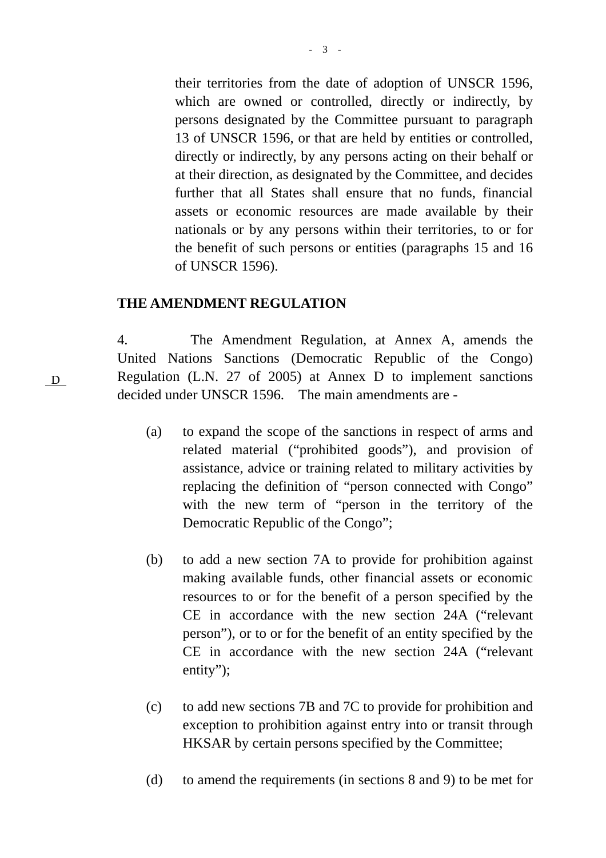their territories from the date of adoption of UNSCR 1596, which are owned or controlled, directly or indirectly, by persons designated by the Committee pursuant to paragraph 13 of UNSCR 1596, or that are held by entities or controlled, directly or indirectly, by any persons acting on their behalf or at their direction, as designated by the Committee, and decides further that all States shall ensure that no funds, financial assets or economic resources are made available by their nationals or by any persons within their territories, to or for the benefit of such persons or entities (paragraphs 15 and 16 of UNSCR 1596).

#### **THE AMENDMENT REGULATION**

4. The Amendment Regulation, at Annex A, amends the United Nations Sanctions (Democratic Republic of the Congo) Regulation (L.N. 27 of 2005) at Annex D to implement sanctions decided under UNSCR 1596. The main amendments are -

- (a) to expand the scope of the sanctions in respect of arms and related material ("prohibited goods"), and provision of assistance, advice or training related to military activities by replacing the definition of "person connected with Congo" with the new term of "person in the territory of the Democratic Republic of the Congo";
- (b) to add a new section 7A to provide for prohibition against making available funds, other financial assets or economic resources to or for the benefit of a person specified by the CE in accordance with the new section 24A ("relevant person"), or to or for the benefit of an entity specified by the CE in accordance with the new section 24A ("relevant entity");
- (c) to add new sections 7B and 7C to provide for prohibition and exception to prohibition against entry into or transit through HKSAR by certain persons specified by the Committee;
- (d) to amend the requirements (in sections 8 and 9) to be met for

D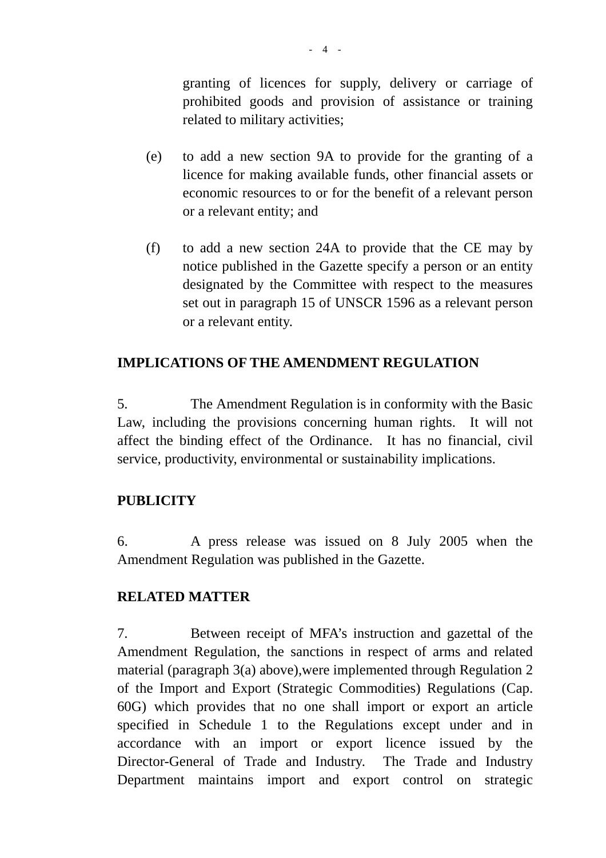granting of licences for supply, delivery or carriage of prohibited goods and provision of assistance or training related to military activities;

- (e) to add a new section 9A to provide for the granting of a licence for making available funds, other financial assets or economic resources to or for the benefit of a relevant person or a relevant entity; and
- (f) to add a new section 24A to provide that the CE may by notice published in the Gazette specify a person or an entity designated by the Committee with respect to the measures set out in paragraph 15 of UNSCR 1596 as a relevant person or a relevant entity.

## **IMPLICATIONS OF THE AMENDMENT REGULATION**

5. The Amendment Regulation is in conformity with the Basic Law, including the provisions concerning human rights. It will not affect the binding effect of the Ordinance. It has no financial, civil service, productivity, environmental or sustainability implications.

## **PUBLICITY**

6. A press release was issued on 8 July 2005 when the Amendment Regulation was published in the Gazette.

## **RELATED MATTER**

7. Between receipt of MFA's instruction and gazettal of the Amendment Regulation, the sanctions in respect of arms and related material (paragraph 3(a) above),were implemented through Regulation 2 of the Import and Export (Strategic Commodities) Regulations (Cap. 60G) which provides that no one shall import or export an article specified in Schedule 1 to the Regulations except under and in accordance with an import or export licence issued by the Director-General of Trade and Industry. The Trade and Industry Department maintains import and export control on strategic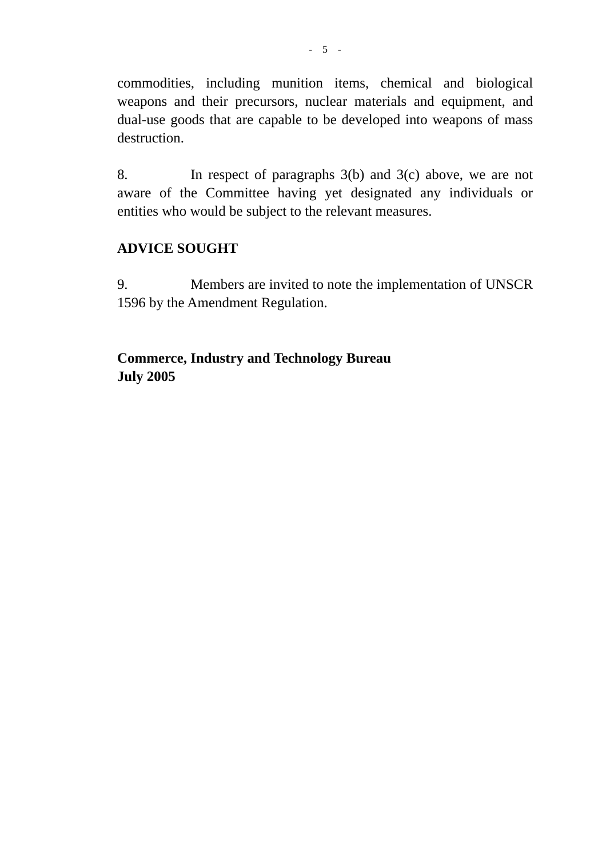commodities, including munition items, chemical and biological weapons and their precursors, nuclear materials and equipment, and dual-use goods that are capable to be developed into weapons of mass destruction.

8. In respect of paragraphs 3(b) and 3(c) above, we are not aware of the Committee having yet designated any individuals or entities who would be subject to the relevant measures.

## **ADVICE SOUGHT**

9. Members are invited to note the implementation of UNSCR 1596 by the Amendment Regulation.

**Commerce, Industry and Technology Bureau July 2005**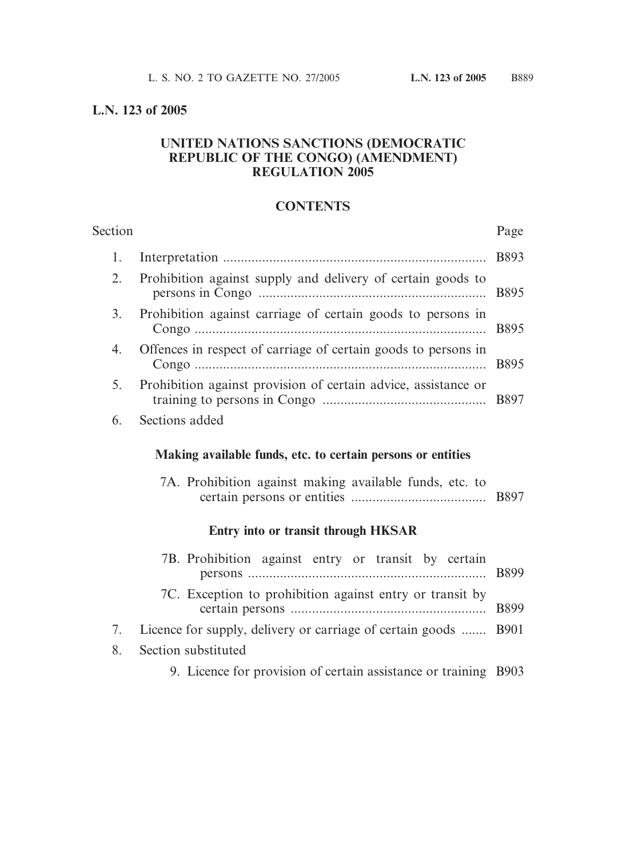#### **L.N. 123 of 2005**

## **UNITED NATIONS SANCTIONS (DEMOCRATIC REPUBLIC OF THE CONGO) (AMENDMENT) REGULATION 2005**

## **CONTENTS**

| Section |                                                                | Page |
|---------|----------------------------------------------------------------|------|
|         |                                                                |      |
| 2.      | Prohibition against supply and delivery of certain goods to    |      |
|         | 3. Prohibition against carriage of certain goods to persons in |      |
| 4.      | Offences in respect of carriage of certain goods to persons in |      |
| 5.      | Prohibition against provision of certain advice, assistance or |      |
| 6.      | Sections added                                                 |      |
|         |                                                                |      |

## **Making available funds, etc. to certain persons or entities**

| 7A. Prohibition against making available funds, etc. to |  |  |  |
|---------------------------------------------------------|--|--|--|
|                                                         |  |  |  |

## **Entry into or transit through HKSAR**

| 7B. Prohibition against entry or transit by certain                |  |
|--------------------------------------------------------------------|--|
| 7C. Exception to prohibition against entry or transit by           |  |
| 7. Licence for supply, delivery or carriage of certain goods  B901 |  |
| 8. Section substituted                                             |  |
| 9. Licence for provision of certain assistance or training B903    |  |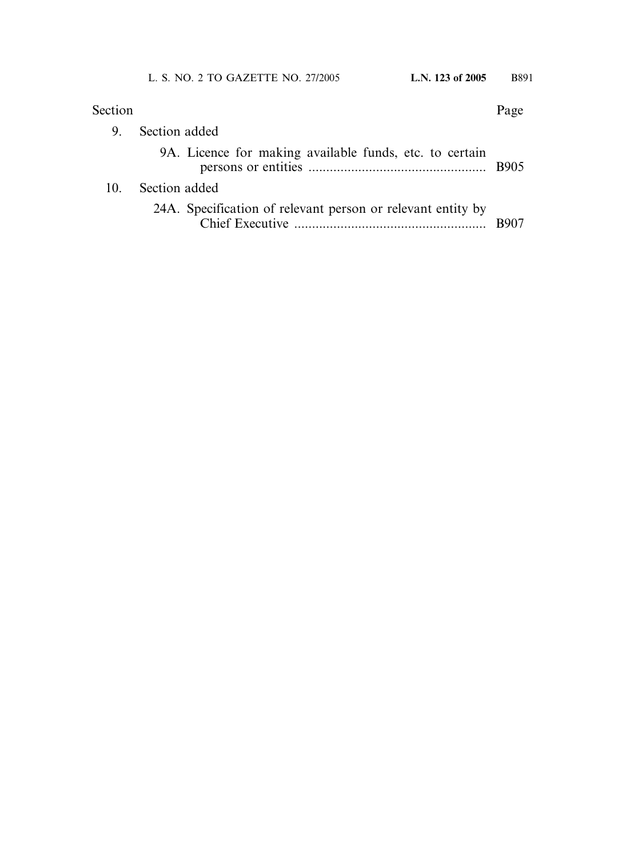| Section |                                                             | Page        |
|---------|-------------------------------------------------------------|-------------|
| 9.      | Section added                                               |             |
|         | 9A. Licence for making available funds, etc. to certain     |             |
| 10.     | Section added                                               |             |
|         | 24A. Specification of relevant person or relevant entity by | <b>B907</b> |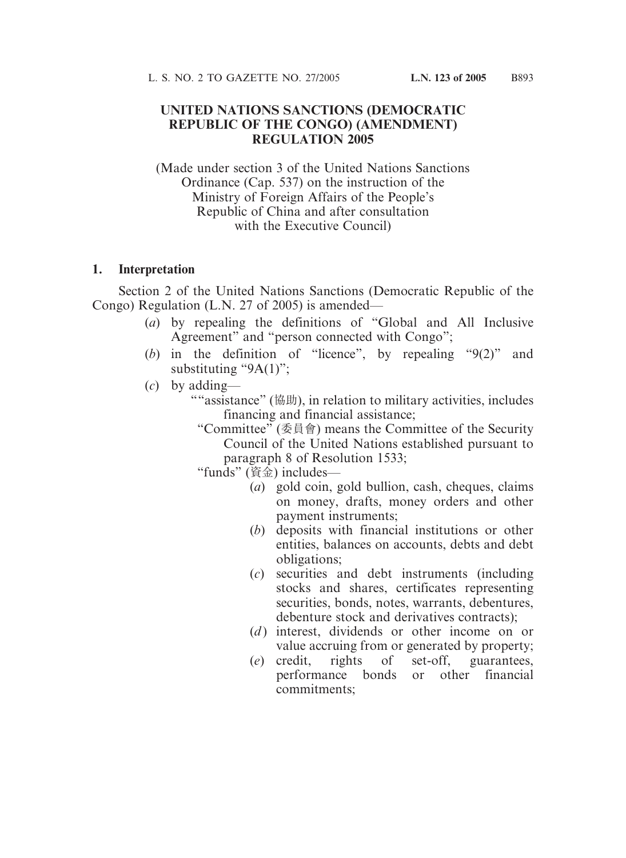## **UNITED NATIONS SANCTIONS (DEMOCRATIC REPUBLIC OF THE CONGO) (AMENDMENT) REGULATION 2005**

(Made under section 3 of the United Nations Sanctions Ordinance (Cap. 537) on the instruction of the Ministry of Foreign Affairs of the People's Republic of China and after consultation with the Executive Council)

#### **1. Interpretation**

Section 2 of the United Nations Sanctions (Democratic Republic of the Congo) Regulation (L.N. 27 of 2005) is amended—

- (*a*) by repealing the definitions of "Global and All Inclusive Agreement" and "person connected with Congo";
- (*b*) in the definition of "licence", by repealing "9(2)" and substituting " $9A(1)$ ";
- (*c*) by adding—
	- ""assistance" (協助), in relation to military activities, includes financing and financial assistance;
		- "Committee" (委員會) means the Committee of the Security Council of the United Nations established pursuant to paragraph 8 of Resolution 1533;

"funds" (資金) includes—

- (*a*) gold coin, gold bullion, cash, cheques, claims on money, drafts, money orders and other payment instruments;
- (*b*) deposits with financial institutions or other entities, balances on accounts, debts and debt obligations;
- (*c*) securities and debt instruments (including stocks and shares, certificates representing securities, bonds, notes, warrants, debentures, debenture stock and derivatives contracts);
- (*d*) interest, dividends or other income on or value accruing from or generated by property;
- (*e*) credit, rights of set-off, guarantees, performance bonds or other financial commitments;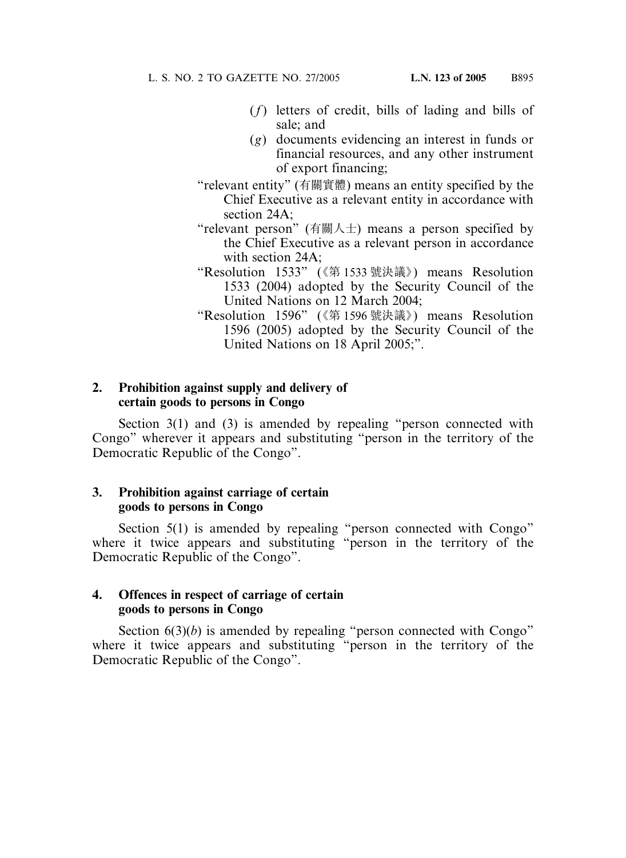- (*f*) letters of credit, bills of lading and bills of sale; and
- (*g*) documents evidencing an interest in funds or financial resources, and any other instrument of export financing;
- "relevant entity" (有關實體) means an entity specified by the Chief Executive as a relevant entity in accordance with section 24A;
- "relevant person" (有關人士) means a person specified by the Chief Executive as a relevant person in accordance with section 24A;
- "Resolution 1533" (《第 1533 號決議》) means Resolution 1533 (2004) adopted by the Security Council of the United Nations on 12 March 2004;
- "Resolution 1596" (《第 1596 號決議》) means Resolution 1596 (2005) adopted by the Security Council of the United Nations on 18 April 2005;".

## **2. Prohibition against supply and delivery of certain goods to persons in Congo**

Section 3(1) and (3) is amended by repealing "person connected with Congo" wherever it appears and substituting "person in the territory of the Democratic Republic of the Congo".

## **3. Prohibition against carriage of certain goods to persons in Congo**

Section 5(1) is amended by repealing "person connected with Congo" where it twice appears and substituting "person in the territory of the Democratic Republic of the Congo".

## **4. Offences in respect of carriage of certain goods to persons in Congo**

Section  $6(3)(b)$  is amended by repealing "person connected with Congo" where it twice appears and substituting "person in the territory of the Democratic Republic of the Congo".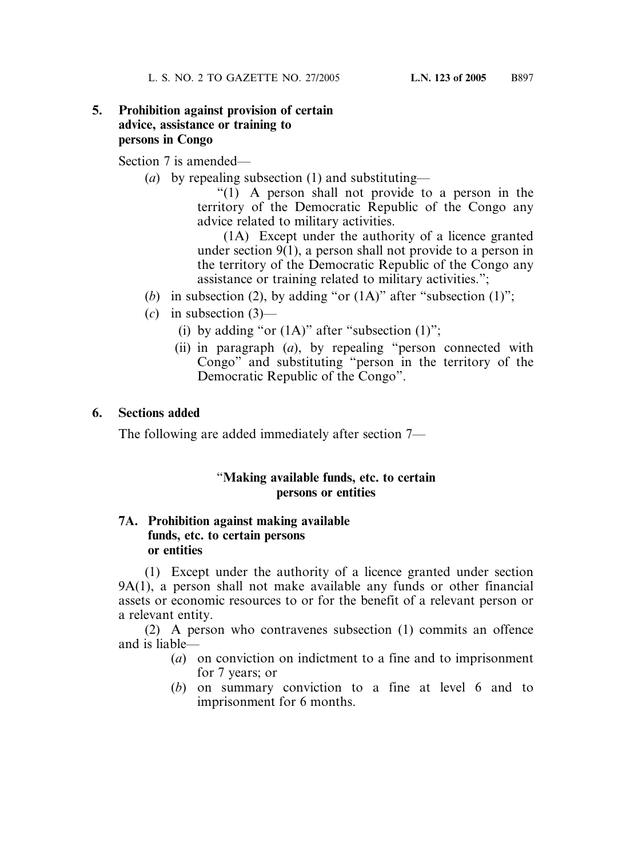## **5. Prohibition against provision of certain advice, assistance or training to persons in Congo**

Section 7 is amended—

(*a*) by repealing subsection (1) and substituting—

"(1) A person shall not provide to a person in the territory of the Democratic Republic of the Congo any advice related to military activities.

(1A) Except under the authority of a licence granted under section  $9(1)$ , a person shall not provide to a person in the territory of the Democratic Republic of the Congo any assistance or training related to military activities.";

- (*b*) in subsection (2), by adding "or  $(1A)$ " after "subsection  $(1)$ ";
- (*c*) in subsection (3)—
	- (i) by adding "or  $(1A)$ " after "subsection  $(1)$ ";
	- (ii) in paragraph (*a*), by repealing "person connected with Congo" and substituting "person in the territory of the Democratic Republic of the Congo".

#### **6. Sections added**

The following are added immediately after section 7—

#### "**Making available funds, etc. to certain persons or entities**

## **7A. Prohibition against making available funds, etc. to certain persons or entities**

(1) Except under the authority of a licence granted under section 9A(1), a person shall not make available any funds or other financial assets or economic resources to or for the benefit of a relevant person or a relevant entity.

(2) A person who contravenes subsection (1) commits an offence and is liable—

- (*a*) on conviction on indictment to a fine and to imprisonment for 7 years; or
- (*b*) on summary conviction to a fine at level 6 and to imprisonment for 6 months.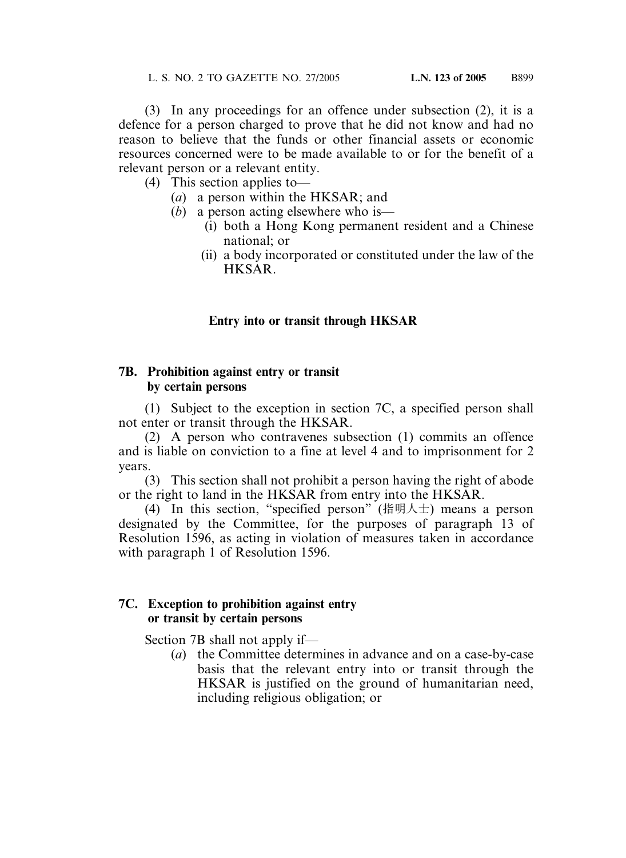(3) In any proceedings for an offence under subsection (2), it is a defence for a person charged to prove that he did not know and had no reason to believe that the funds or other financial assets or economic resources concerned were to be made available to or for the benefit of a relevant person or a relevant entity.

- (4) This section applies to—
	- (*a*) a person within the HKSAR; and
	- (*b*) a person acting elsewhere who is—
		- (i) both a Hong Kong permanent resident and a Chinese national; or
		- (ii) a body incorporated or constituted under the law of the **HKSAR**

#### **Entry into or transit through HKSAR**

#### **7B. Prohibition against entry or transit by certain persons**

(1) Subject to the exception in section 7C, a specified person shall not enter or transit through the HKSAR.

(2) A person who contravenes subsection (1) commits an offence and is liable on conviction to a fine at level 4 and to imprisonment for 2 years.

(3) This section shall not prohibit a person having the right of abode or the right to land in the HKSAR from entry into the HKSAR.

(4) In this section, "specified person" (指明人士) means a person designated by the Committee, for the purposes of paragraph 13 of Resolution 1596, as acting in violation of measures taken in accordance with paragraph 1 of Resolution 1596.

## **7C. Exception to prohibition against entry or transit by certain persons**

Section 7B shall not apply if—

(*a*) the Committee determines in advance and on a case-by-case basis that the relevant entry into or transit through the HKSAR is justified on the ground of humanitarian need, including religious obligation; or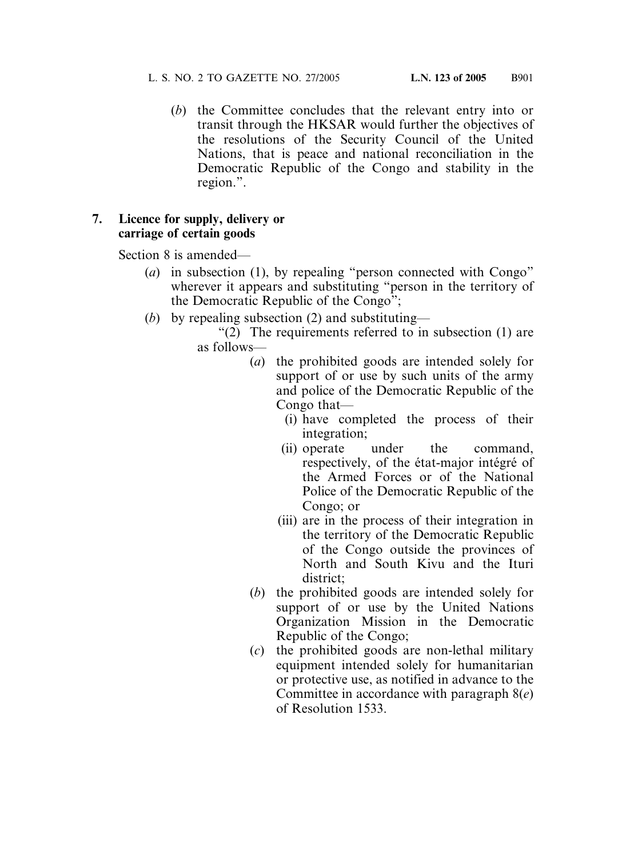(*b*) the Committee concludes that the relevant entry into or transit through the HKSAR would further the objectives of the resolutions of the Security Council of the United Nations, that is peace and national reconciliation in the Democratic Republic of the Congo and stability in the region.".

## **7. Licence for supply, delivery or carriage of certain goods**

Section 8 is amended—

- (*a*) in subsection (1), by repealing "person connected with Congo" wherever it appears and substituting "person in the territory of the Democratic Republic of the Congo";
- (*b*) by repealing subsection (2) and substituting—

"(2) The requirements referred to in subsection  $(1)$  are as follows—

- (*a*) the prohibited goods are intended solely for support of or use by such units of the army and police of the Democratic Republic of the Congo that—
	- (i) have completed the process of their integration;
	- (ii) operate under the command, respectively, of the état-major intégré of the Armed Forces or of the National Police of the Democratic Republic of the Congo; or
	- (iii) are in the process of their integration in the territory of the Democratic Republic of the Congo outside the provinces of North and South Kivu and the Ituri district;
- (*b*) the prohibited goods are intended solely for support of or use by the United Nations Organization Mission in the Democratic Republic of the Congo;
- (*c*) the prohibited goods are non-lethal military equipment intended solely for humanitarian or protective use, as notified in advance to the Committee in accordance with paragraph 8(*e*) of Resolution 1533.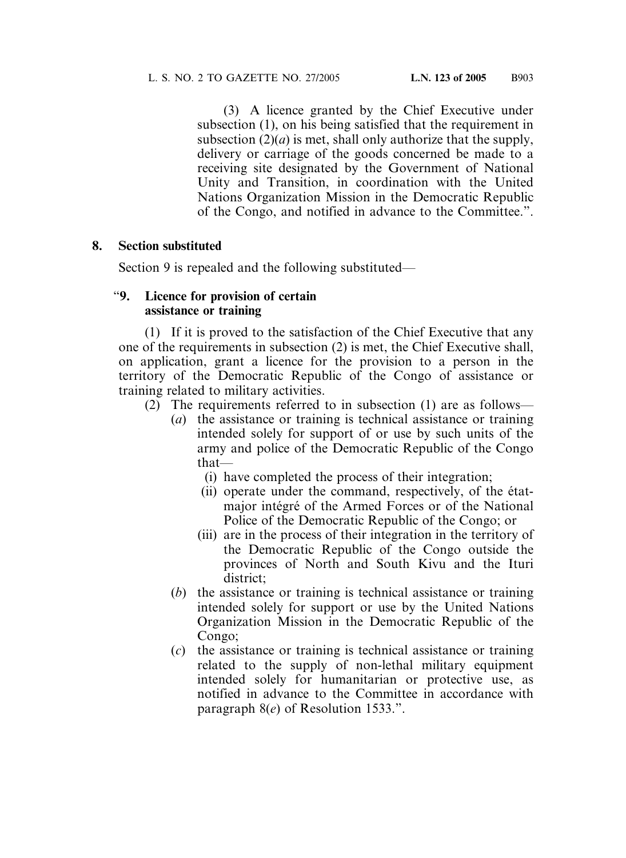(3) A licence granted by the Chief Executive under subsection (1), on his being satisfied that the requirement in subsection  $(2)(a)$  is met, shall only authorize that the supply, delivery or carriage of the goods concerned be made to a receiving site designated by the Government of National Unity and Transition, in coordination with the United Nations Organization Mission in the Democratic Republic of the Congo, and notified in advance to the Committee.".

## **8. Section substituted**

Section 9 is repealed and the following substituted—

## "**9. Licence for provision of certain assistance or training**

(1) If it is proved to the satisfaction of the Chief Executive that any one of the requirements in subsection (2) is met, the Chief Executive shall, on application, grant a licence for the provision to a person in the territory of the Democratic Republic of the Congo of assistance or training related to military activities.

- (2) The requirements referred to in subsection (1) are as follows—
	- (*a*) the assistance or training is technical assistance or training intended solely for support of or use by such units of the army and police of the Democratic Republic of the Congo that—
		- (i) have completed the process of their integration;
		- (ii) operate under the command, respectively, of the étatmajor intégré of the Armed Forces or of the National Police of the Democratic Republic of the Congo; or
		- (iii) are in the process of their integration in the territory of the Democratic Republic of the Congo outside the provinces of North and South Kivu and the Ituri district;
	- (*b*) the assistance or training is technical assistance or training intended solely for support or use by the United Nations Organization Mission in the Democratic Republic of the Congo;
	- (*c*) the assistance or training is technical assistance or training related to the supply of non-lethal military equipment intended solely for humanitarian or protective use, as notified in advance to the Committee in accordance with paragraph 8(*e*) of Resolution 1533.".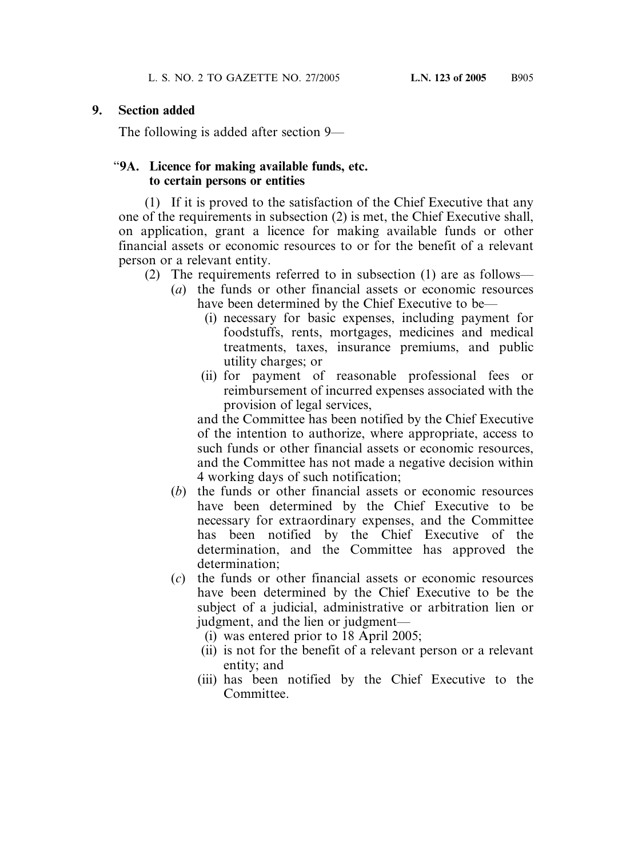#### **9. Section added**

The following is added after section 9—

## "**9A. Licence for making available funds, etc. to certain persons or entities**

(1) If it is proved to the satisfaction of the Chief Executive that any one of the requirements in subsection (2) is met, the Chief Executive shall, on application, grant a licence for making available funds or other financial assets or economic resources to or for the benefit of a relevant person or a relevant entity.

- (2) The requirements referred to in subsection (1) are as follows—
	- (*a*) the funds or other financial assets or economic resources have been determined by the Chief Executive to be—
		- (i) necessary for basic expenses, including payment for foodstuffs, rents, mortgages, medicines and medical treatments, taxes, insurance premiums, and public utility charges; or
		- (ii) for payment of reasonable professional fees or reimbursement of incurred expenses associated with the provision of legal services,

and the Committee has been notified by the Chief Executive of the intention to authorize, where appropriate, access to such funds or other financial assets or economic resources, and the Committee has not made a negative decision within 4 working days of such notification;

- (*b*) the funds or other financial assets or economic resources have been determined by the Chief Executive to be necessary for extraordinary expenses, and the Committee has been notified by the Chief Executive of the determination, and the Committee has approved the determination;
- (*c*) the funds or other financial assets or economic resources have been determined by the Chief Executive to be the subject of a judicial, administrative or arbitration lien or judgment, and the lien or judgment—
	- (i) was entered prior to 18 April 2005;
	- (ii) is not for the benefit of a relevant person or a relevant entity; and
	- (iii) has been notified by the Chief Executive to the Committee.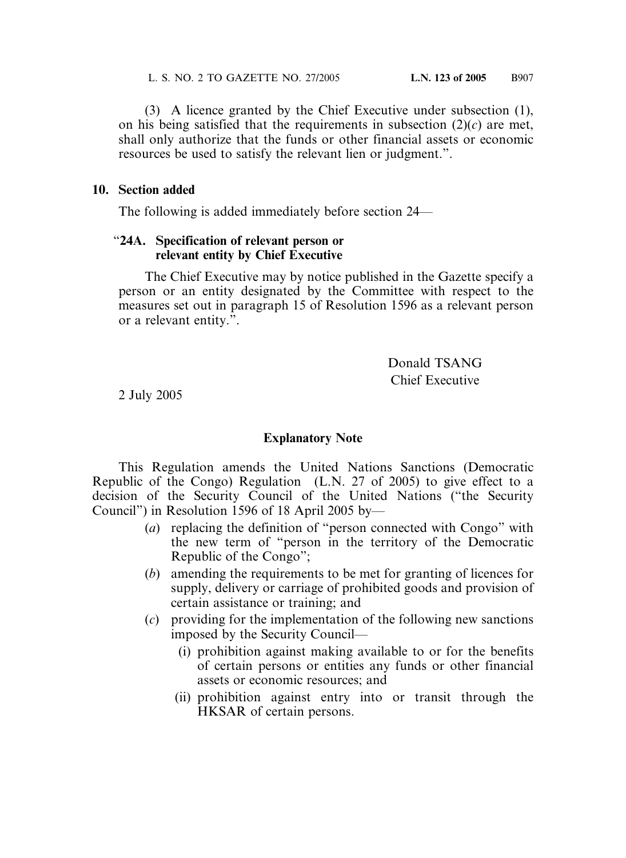(3) A licence granted by the Chief Executive under subsection (1), on his being satisfied that the requirements in subsection  $(2)(c)$  are met, shall only authorize that the funds or other financial assets or economic resources be used to satisfy the relevant lien or judgment.".

#### **10. Section added**

The following is added immediately before section 24—

#### "**24A. Specification of relevant person or relevant entity by Chief Executive**

The Chief Executive may by notice published in the Gazette specify a person or an entity designated by the Committee with respect to the measures set out in paragraph 15 of Resolution 1596 as a relevant person or a relevant entity.".

> Donald TSANG Chief Executive

2 July 2005

## **Explanatory Note**

This Regulation amends the United Nations Sanctions (Democratic Republic of the Congo) Regulation (L.N. 27 of 2005) to give effect to a decision of the Security Council of the United Nations ("the Security Council") in Resolution 1596 of 18 April 2005 by—

- (*a*) replacing the definition of "person connected with Congo" with the new term of "person in the territory of the Democratic Republic of the Congo";
- (*b*) amending the requirements to be met for granting of licences for supply, delivery or carriage of prohibited goods and provision of certain assistance or training; and
- (*c*) providing for the implementation of the following new sanctions imposed by the Security Council—
	- (i) prohibition against making available to or for the benefits of certain persons or entities any funds or other financial assets or economic resources; and
	- (ii) prohibition against entry into or transit through the HKSAR of certain persons.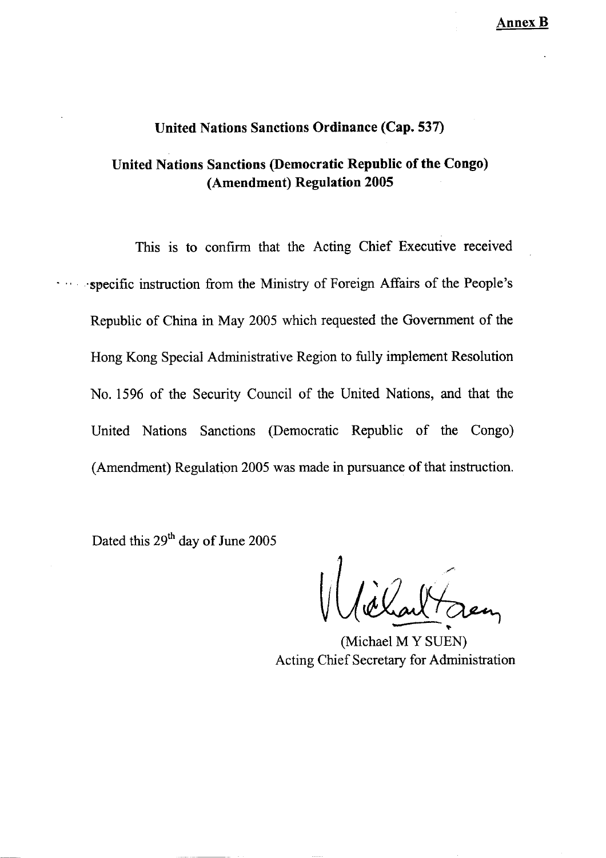#### **United Nations Sanctions Ordinance (Cap. 537)**

# United Nations Sanctions (Democratic Republic of the Congo) (Amendment) Regulation 2005

This is to confirm that the Acting Chief Executive received Sepecific instruction from the Ministry of Foreign Affairs of the People's Republic of China in May 2005 which requested the Government of the Hong Kong Special Administrative Region to fully implement Resolution No. 1596 of the Security Council of the United Nations, and that the United Nations Sanctions (Democratic Republic of the Congo) (Amendment) Regulation 2005 was made in pursuance of that instruction.

Dated this 29<sup>th</sup> day of June 2005

(Michael M Y SUEN) Acting Chief Secretary for Administration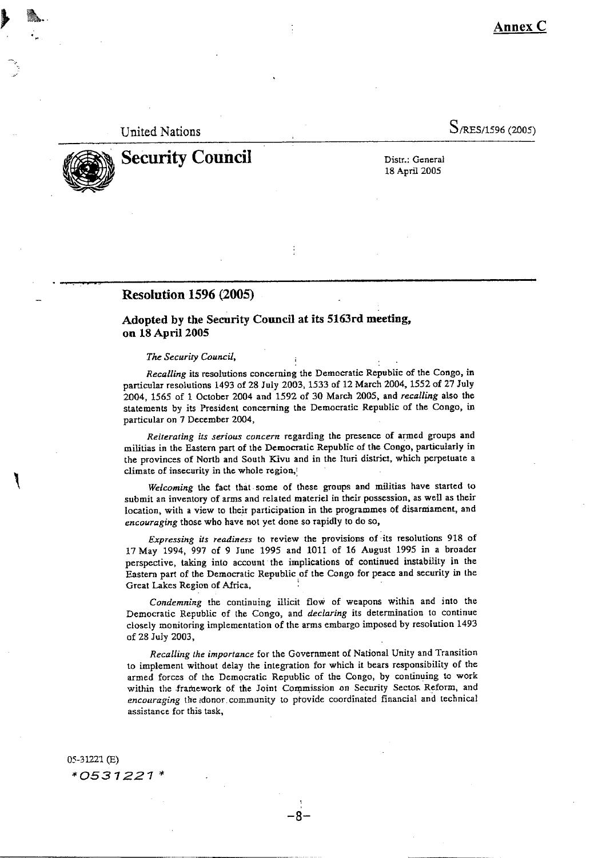#### **Annex C**

#### **United Nations**

 $S$ /RES/1596 (2005)



Distr.: General 18 April 2005

#### **Resolution 1596 (2005)**

#### Adopted by the Security Council at its 5163rd meeting, on 18 April 2005

#### The Security Council,

Recalling its resolutions concerning the Democratic Republic of the Congo, in particular resolutions 1493 of 28 July 2003, 1533 of 12 March 2004, 1552 of 27 July 2004, 1565 of 1 October 2004 and 1592 of 30 March 2005, and recalling also the statements by its President concerning the Democratic Republic of the Congo, in particular on 7 December 2004,

Reiterating its serious concern regarding the presence of armed groups and militias in the Eastern part of the Democratic Republic of the Congo, particularly in the provinces of North and South Kivu and in the Ituri district, which perpetuate a climate of insecurity in the whole region,

Welcoming the fact that some of these groups and militias have started to submit an inventory of arms and related materiel in their possession, as well as their location, with a view to their participation in the programmes of disarmament, and encouraging those who have not yet done so rapidly to do so,

Expressing its readiness to review the provisions of its resolutions 918 of 17 May 1994, 997 of 9 June 1995 and 1011 of 16 August 1995 in a broader perspective, taking into account the implications of continued instability in the Eastern part of the Democratic Republic of the Congo for peace and security in the Great Lakes Region of Africa,

Condemning the continuing illicit flow of weapons within and into the Democratic Republic of the Congo, and declaring its determination to continue closely monitoring implementation of the arms embargo imposed by resolution 1493 of 28 July 2003,

Recalling the importance for the Government of National Unity and Transition to implement without delay the integration for which it bears responsibility of the armed forces of the Democratic Republic of the Congo, by continuing to work within the framework of the Joint Commission on Security Sector Reform, and encouraging the donor community to provide coordinated financial and technical assistance for this task,

-ጸ-

05-31221 (E)  $*0531221*$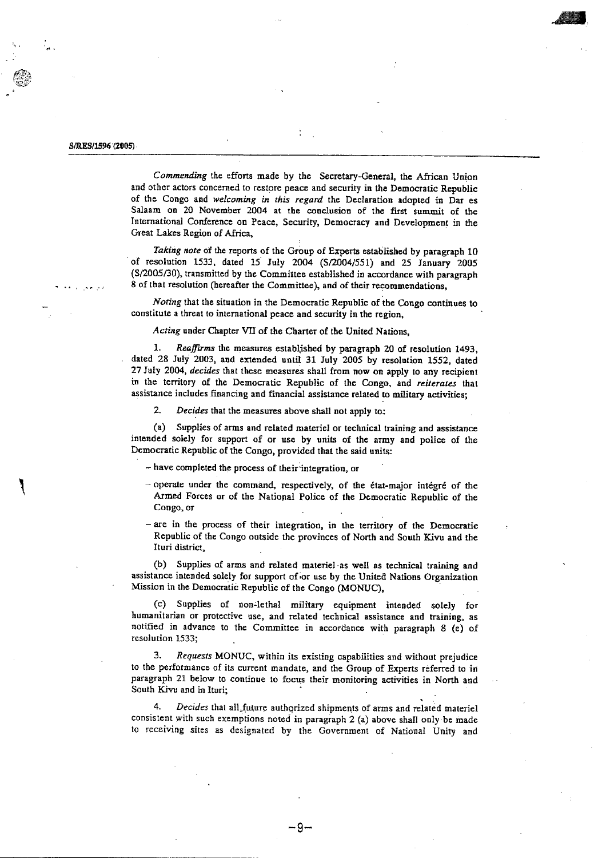Commending the efforts made by the Secretary-General, the African Union and other actors concerned to restore peace and security in the Democratic Republic of the Congo and welcoming in this regard the Declaration adopted in Dar es Salaam on 20 November 2004 at the conclusion of the first summit of the International Conference on Peace, Security, Democracy and Development in the Great Lakes Region of Africa,

Taking note of the reports of the Group of Experts established by paragraph 10 of resolution 1533, dated 15 July 2004 (S/2004/551) and 25 January 2005 (S/2005/30), transmitted by the Committee established in accordance with paragraph 8 of that resolution (hereafter the Committee), and of their recommendations,

Noting that the situation in the Democratic Republic of the Congo continues to constitute a threat to international peace and security in the region,

Acting under Chapter VII of the Charter of the United Nations.

 $\mathbf{1}$ . Reaffirms the measures established by paragraph 20 of resolution 1493, dated 28 July 2003, and extended until 31 July 2005 by resolution 1552, dated 27 July 2004, decides that these measures shall from now on apply to any recipient in the territory of the Democratic Republic of the Congo, and reiterates that assistance includes financing and financial assistance related to military activities;

 $\mathcal{L}$ Decides that the measures above shall not apply to:

Supplies of arms and related materiel or technical training and assistance  $(a)$ intended solely for support of or use by units of the army and police of the Democratic Republic of the Congo, provided that the said units:

- have completed the process of their integration, or

- operate under the command, respectively, of the état-major intégré of the Armed Forces or of the National Police of the Democratic Republic of the Congo, or
- are in the process of their integration, in the territory of the Democratic Republic of the Congo outside the provinces of North and South Kivu and the Ituri district.

(b) Supplies of arms and related materiel as well as technical training and assistance intended solely for support of or use by the United Nations Organization Mission in the Democratic Republic of the Congo (MONUC),

(c) Supplies of non-lethal military equipment intended solely for humanitarian or protective use, and related technical assistance and training, as notified in advance to the Committee in accordance with paragraph 8 (e) of resolution 1533:

Requests MONUC, within its existing capabilities and without prejudice to the performance of its current mandate, and the Group of Experts referred to in paragraph 21 below to continue to focus their monitoring activities in North and South Kivu and in Ituri:

Decides that all future authorized shipments of arms and related materiel consistent with such exemptions noted in paragraph 2 (a) above shall only be made to receiving sites as designated by the Government of National Unity and

– 9 –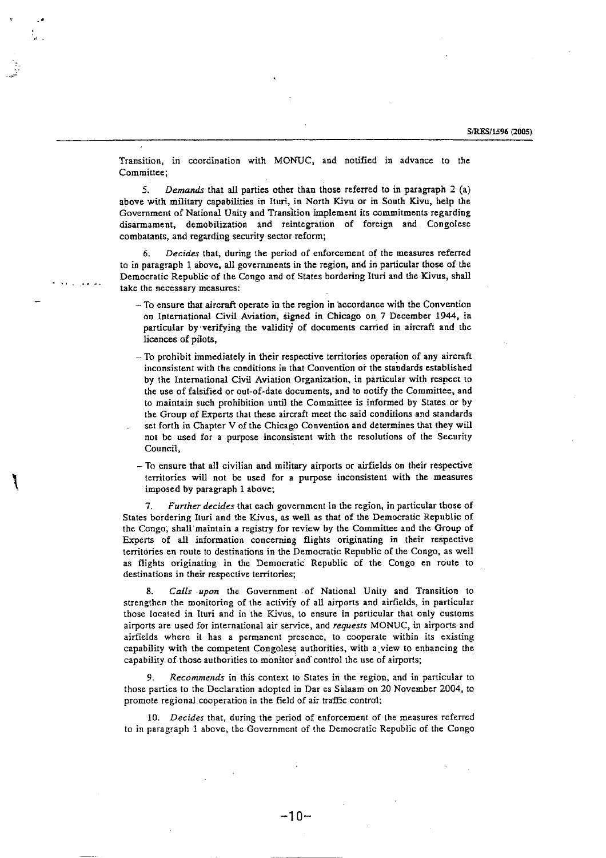Transition, in coordination with MONUC, and notified in advance to the Committee:

 $\mathsf{S}$ . Demands that all parties other than those referred to in paragraph  $2 \cdot (a)$ above with military capabilities in Ituri, in North Kivu or in South Kivu, help the Government of National Unity and Transition implement its commitments regarding disarmament, demobilization and reintegration of foreign and Congolese combatants, and regarding security sector reform;

Decides that, during the period of enforcement of the measures referred 6. to in paragraph 1 above, all governments in the region, and in particular those of the Democratic Republic of the Congo and of States bordering Ituri and the Kivus, shall take the necessary measures:

- $-$  To ensure that aircraft operate in the region in accordance with the Convention on International Civil Aviation, signed in Chicago on 7 December 1944, in particular by verifying the validity of documents carried in aircraft and the licences of pilots,
- $-$  To prohibit immediately in their respective territories operation of any aircraft inconsistent with the conditions in that Convention or the standards established by the International Civil Aviation Organization, in particular with respect to the use of falsified or out-of-date documents, and to notify the Committee, and to maintain such prohibition until the Committee is informed by States or by the Group of Experts that these aircraft meet the said conditions and standards set forth in Chapter V of the Chicago Convention and determines that they will not be used for a purpose inconsistent with the resolutions of the Security Council,
- To ensure that all civilian and military airports or airfields on their respective territories will not be used for a purpose inconsistent with the measures imposed by paragraph 1 above;

7. Further decides that each government in the region, in particular those of States bordering Ituri and the Kivus, as well as that of the Democratic Republic of the Congo, shall maintain a registry for review by the Committee and the Group of Experts of all information concerning flights originating in their respective territories en route to destinations in the Democratic Republic of the Congo, as well as flights originating in the Democratic Republic of the Congo en route to destinations in their respective territories;

8. Calls upon the Government of National Unity and Transition to strengthen the monitoring of the activity of all airports and airfields, in particular those located in Ituri and in the Kivus, to ensure in particular that only customs airports are used for international air service, and requests MONUC, in airports and airfields where it has a permanent presence, to cooperate within its existing capability with the competent Congolese authorities, with a view to enhancing the capability of those authorities to monitor and control the use of airports;

 $\mathbf{Q}$ Recommends in this context to States in the region, and in particular to those parties to the Declaration adopted in Dar es Salaam on 20 November 2004, to promote regional cooperation in the field of air traffic control;

10. Decides that, during the period of enforcement of the measures referred to in paragraph 1 above, the Government of the Democratic Republic of the Congo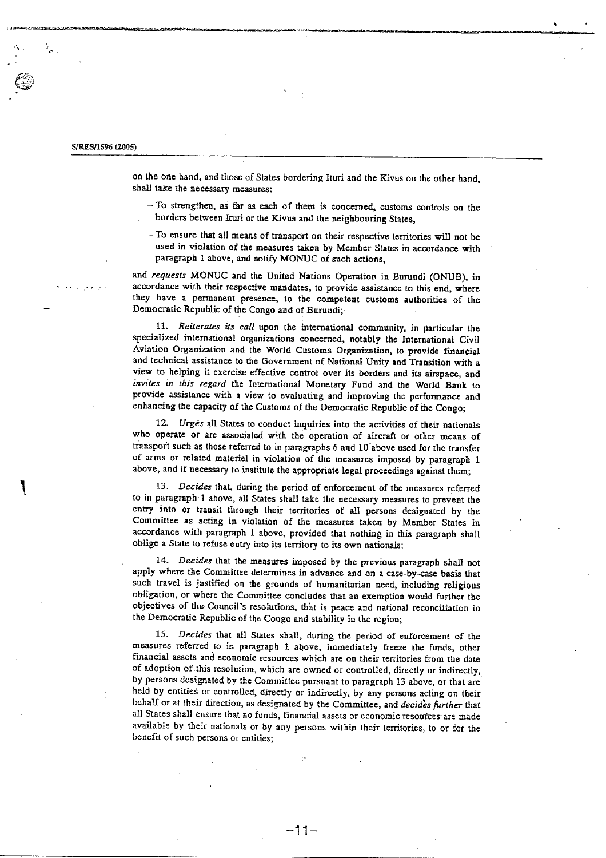#### S/RES/1596 (2005)

on the one hand, and those of States bordering Ituri and the Kivus on the other hand. shall take the necessary measures:

- To strengthen, as far as each of them is concerned, customs controls on the borders between Ituri or the Kivus and the neighbouring States,
- To ensure that all means of transport on their respective territories will not be used in violation of the measures taken by Member States in accordance with paragraph 1 above, and notify MONUC of such actions,

and requests MONUC and the United Nations Operation in Burundi (ONUB), in accordance with their respective mandates, to provide assistance to this end, where they have a permanent presence, to the competent customs authorities of the Democratic Republic of the Congo and of Burundi;

11. Reiterates its call upon the international community, in particular the specialized international organizations concerned, notably the International Civil Aviation Organization and the World Customs Organization, to provide financial and technical assistance to the Government of National Unity and Transition with a view to helping it exercise effective control over its borders and its airspace, and invites in this regard the International Monetary Fund and the World Bank to provide assistance with a view to evaluating and improving the performance and enhancing the capacity of the Customs of the Democratic Republic of the Congo:

12. Urges all States to conduct inquiries into the activities of their nationals who operate or are associated with the operation of aircraft or other means of transport such as those referred to in paragraphs 6 and 10 above used for the transfer of arms or related materiel in violation of the measures imposed by paragraph 1 above, and if necessary to institute the appropriate legal proceedings against them;

13. Decides that, during the period of enforcement of the measures referred to in paragraph 1 above, all States shall take the necessary measures to prevent the entry into or transit through their territories of all persons designated by the Committee as acting in violation of the measures taken by Member States in accordance with paragraph 1 above, provided that nothing in this paragraph shall oblige a State to refuse entry into its territory to its own nationals;

14. Decides that the measures imposed by the previous paragraph shall not apply where the Committee determines in advance and on a case-by-case basis that such travel is justified on the grounds of humanitarian need, including religious obligation, or where the Committee concludes that an exemption would further the objectives of the Council's resolutions, that is peace and national reconciliation in the Democratic Republic of the Congo and stability in the region;

15. Decides that all States shall, during the period of enforcement of the measures referred to in paragraph 1 above, immediately freeze the funds, other financial assets and economic resources which are on their territories from the date of adoption of this resolution, which are owned or controlled, directly or indirectly, by persons designated by the Committee pursuant to paragraph 13 above, or that are held by entities or controlled, directly or indirectly, by any persons acting on their behalf or at their direction, as designated by the Committee, and decides further that all States shall ensure that no funds, financial assets or economic resources are made available by their nationals or by any persons within their territories, to or for the benefit of such persons or entities:

 $-11-$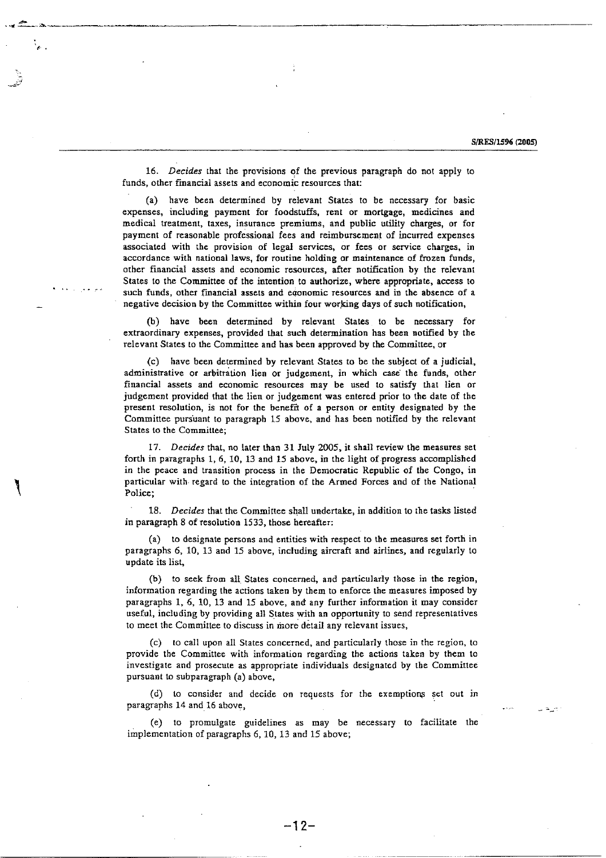16. Decides that the provisions of the previous paragraph do not apply to funds, other financial assets and economic resources that:

(a) have been determined by relevant States to be necessary for basic expenses, including payment for foodstuffs, rent or mortgage, medicines and medical treatment, taxes, insurance premiums, and public utility charges, or for payment of reasonable professional fees and reimbursement of incurred expenses associated with the provision of legal services, or fees or service charges, in accordance with national laws, for routine holding or maintenance of frozen funds, other financial assets and economic resources, after notification by the relevant States to the Committee of the intention to authorize, where appropriate, access to such funds, other financial assets and economic resources and in the absence of a negative decision by the Committee within four working days of such notification,

(b) have been determined by relevant States to be necessary for extraordinary expenses, provided that such determination has been notified by the relevant States to the Committee and has been approved by the Committee, or

(c) have been determined by relevant States to be the subject of a judicial, administrative or arbitration lien or judgement, in which case the funds, other financial assets and economic resources may be used to satisfy that lien or judgement provided that the lien or judgement was entered prior to the date of the present resolution, is not for the benefit of a person or entity designated by the Committee pursuant to paragraph 15 above, and has been notified by the relevant States to the Committee;

17. Decides that, no later than 31 July 2005, it shall review the measures set forth in paragraphs 1, 6, 10, 13 and 15 above, in the light of progress accomplished in the peace and transition process in the Democratic Republic of the Congo, in particular with regard to the integration of the Armed Forces and of the National Police:

18. Decides that the Committee shall undertake, in addition to the tasks listed in paragraph 8 of resolution 1533, those hereafter:

(a) to designate persons and entities with respect to the measures set forth in paragraphs 6, 10, 13 and 15 above, including aircraft and airlines, and regularly to update its list,

(b) to seek from all States concerned, and particularly those in the region, information regarding the actions taken by them to enforce the measures imposed by paragraphs 1, 6, 10, 13 and 15 above, and any further information it may consider useful, including by providing all States with an opportunity to send representatives to meet the Committee to discuss in more detail any relevant issues,

(c) to call upon all States concerned, and particularly those in the region, to provide the Committee with information regarding the actions taken by them to investigate and prosecute as appropriate individuals designated by the Committee pursuant to subparagraph (a) above,

(d) to consider and decide on requests for the exemptions set out in paragraphs 14 and 16 above,

(e) to promulgate guidelines as may be necessary to facilitate the implementation of paragraphs 6, 10, 13 and 15 above;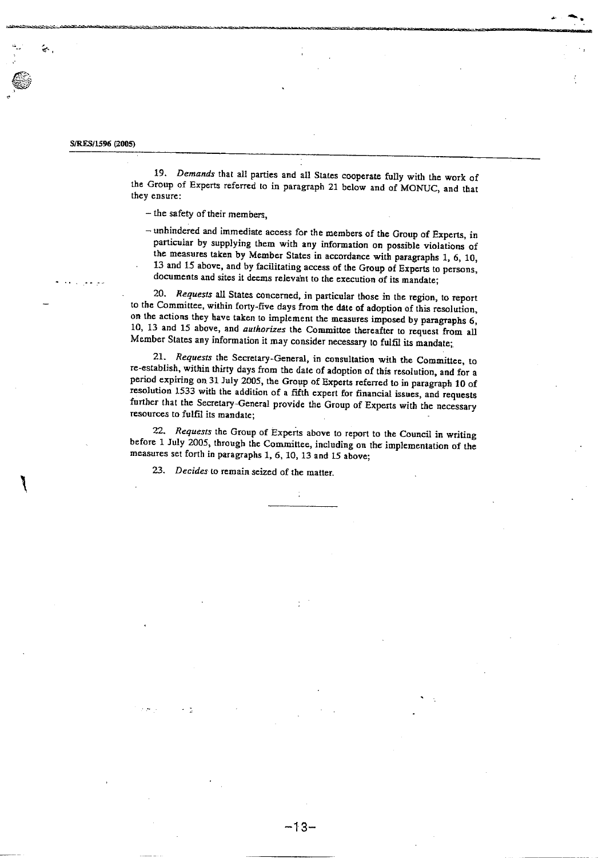$\epsilon$  .

19. Demands that all parties and all States cooperate fully with the work of the Group of Experts referred to in paragraph 21 below and of MONUC, and that they ensure:

- the safety of their members,

- unhindered and immediate access for the members of the Group of Experts, in particular by supplying them with any information on possible violations of the measures taken by Member States in accordance with paragraphs 1, 6, 10, 13 and 15 above, and by facilitating access of the Group of Experts to persons, documents and sites it deems relevant to the execution of its mandate;

20. Requests all States concerned, in particular those in the region, to report to the Committee, within forty-five days from the date of adoption of this resolution, on the actions they have taken to implement the measures imposed by paragraphs 6, 10, 13 and 15 above, and *authorizes* the Committee thereafter to request from all Member States any information it may consider necessary to fulfil its mandate;

21. Requests the Secretary-General, in consultation with the Committee, to re-establish, within thirty days from the date of adoption of this resolution, and for a period expiring on 31 July 2005, the Group of Experts referred to in paragraph 10 of resolution 1533 with the addition of a fifth expert for financial issues, and requests further that the Secretary-General provide the Group of Experts with the necessary resources to fulfil its mandate:

22. Requests the Group of Experts above to report to the Council in writing before 1 July 2005, through the Committee, including on the implementation of the measures set forth in paragraphs 1, 6, 10, 13 and 15 above;

23. Decides to remain seized of the matter.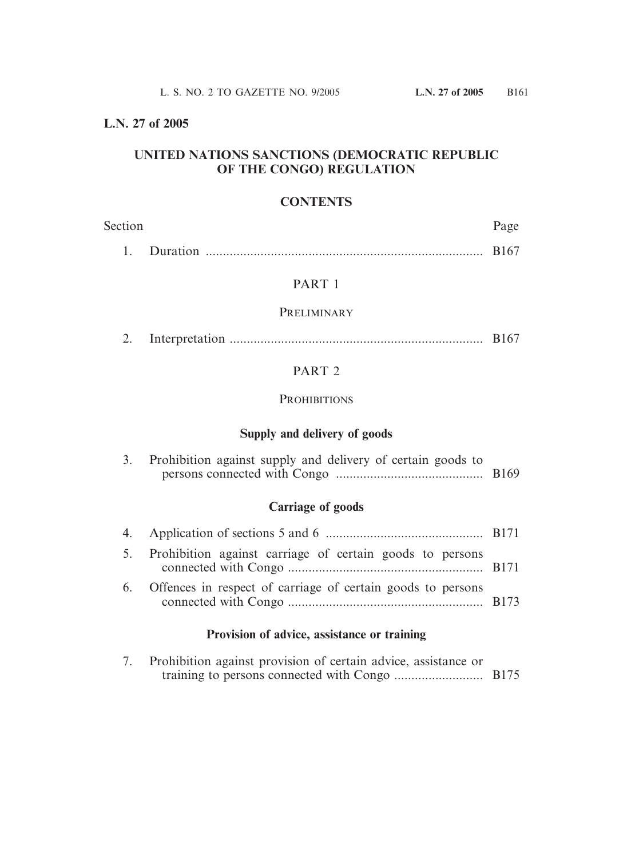## **L.N. 27 of 2005**

## **UNITED NATIONS SANCTIONS (DEMOCRATIC REPUBLIC OF THE CONGO) REGULATION**

#### **CONTENTS**

| Section |             |  |
|---------|-------------|--|
|         | 1. Duration |  |

## PART 1

## **PRELIMINARY**

2. Interpretation .......................................................................... B167

## PART 2

#### **PROHIBITIONS**

## **Supply and delivery of goods**

| Prohibition against supply and delivery of certain goods to |  |
|-------------------------------------------------------------|--|
|                                                             |  |

## **Carriage of goods**

| 5. Prohibition against carriage of certain goods to persons    |  |
|----------------------------------------------------------------|--|
| 6. Offences in respect of carriage of certain goods to persons |  |

## **Provision of advice, assistance or training**

| Prohibition against provision of certain advice, assistance or |  |
|----------------------------------------------------------------|--|
|                                                                |  |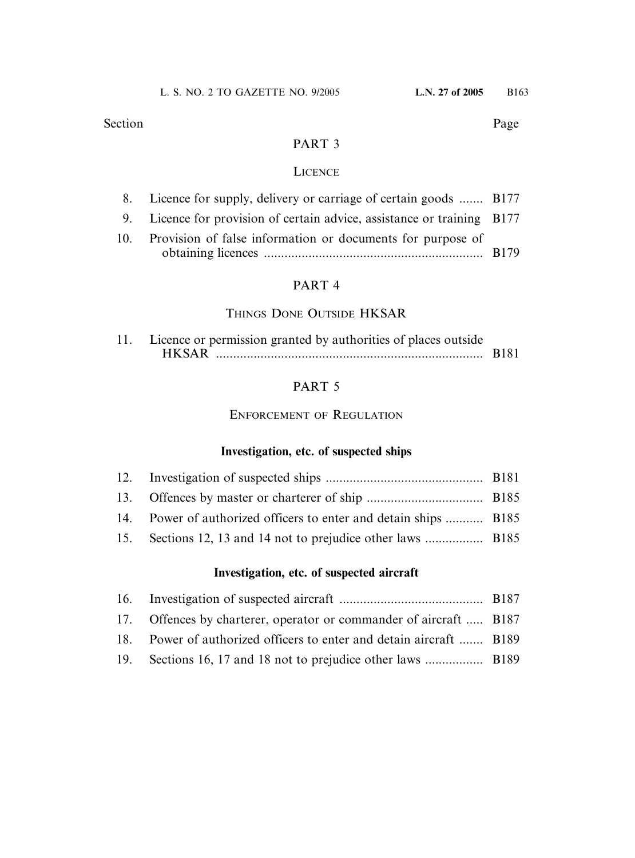Section Page

## PART 3

#### LICENCE

| 8. Licence for supply, delivery or carriage of certain goods  B177      |  |
|-------------------------------------------------------------------------|--|
| 9. Licence for provision of certain advice, assistance or training B177 |  |
| 10. Provision of false information or documents for purpose of          |  |

# PART 4

## THINGS DONE OUTSIDE HKSAR

| 11. Licence or permission granted by authorities of places outside |              |
|--------------------------------------------------------------------|--------------|
| <b>HKSAR</b>                                                       | <b>B</b> 181 |

## PART 5

ENFORCEMENT OF REGULATION

## **Investigation, etc. of suspected ships**

| 14. Power of authorized officers to enter and detain ships  B185 |  |
|------------------------------------------------------------------|--|
| 15. Sections 12, 13 and 14 not to prejudice other laws  B185     |  |

# **Investigation, etc. of suspected aircraft**

| 17. Offences by charterer, operator or commander of aircraft  B187  |  |
|---------------------------------------------------------------------|--|
| 18. Power of authorized officers to enter and detain aircraft  B189 |  |
|                                                                     |  |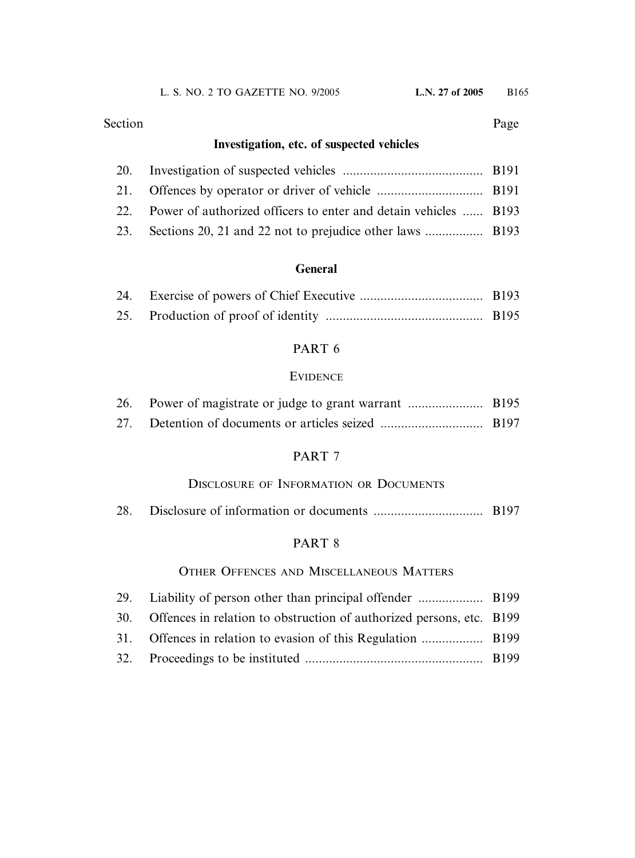#### Section Page

## **Investigation, etc. of suspected vehicles**

| 22. Power of authorized officers to enter and detain vehicles  B193 |  |
|---------------------------------------------------------------------|--|
|                                                                     |  |

# **General**

# PART<sub>6</sub>

## **EVIDENCE**

## PART 7

# DISCLOSURE OF INFORMATION OR DOCUMENTS

| 28. |  |
|-----|--|
|     |  |

## PART 8

## OTHER OFFENCES AND MISCELLANEOUS MATTERS

| 30. Offences in relation to obstruction of authorized persons, etc. B199 |  |
|--------------------------------------------------------------------------|--|
|                                                                          |  |

32. Proceedings to be instituted .................................................... B199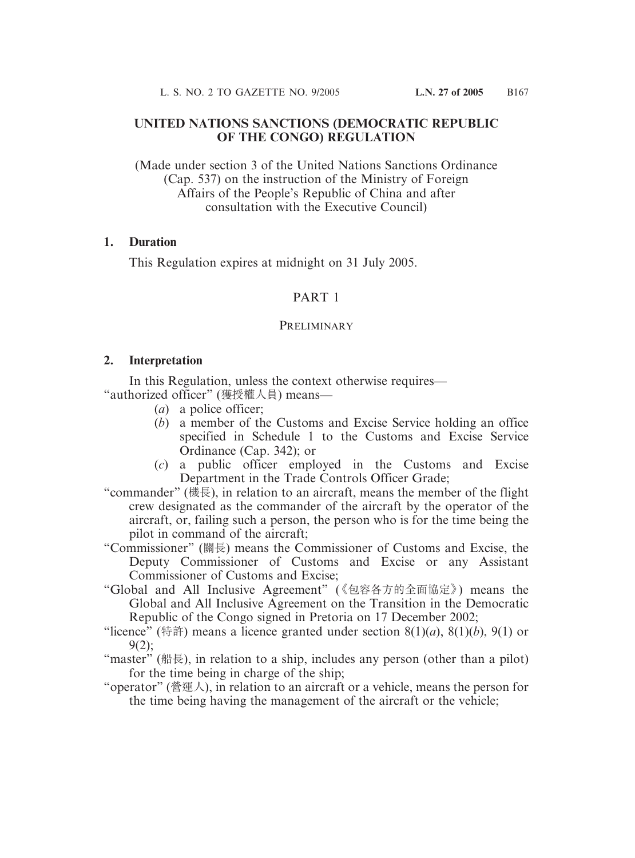## **UNITED NATIONS SANCTIONS (DEMOCRATIC REPUBLIC OF THE CONGO) REGULATION**

(Made under section 3 of the United Nations Sanctions Ordinance (Cap. 537) on the instruction of the Ministry of Foreign Affairs of the People's Republic of China and after consultation with the Executive Council)

## **1. Duration**

This Regulation expires at midnight on 31 July 2005.

## PART 1

#### **PRELIMINARY**

## **2. Interpretation**

In this Regulation, unless the context otherwise requires—

- "authorized officer" (獲授權人員) means—
	- (*a*) a police officer;
	- (*b*) a member of the Customs and Excise Service holding an office specified in Schedule 1 to the Customs and Excise Service Ordinance (Cap. 342); or
	- (*c*) a public officer employed in the Customs and Excise Department in the Trade Controls Officer Grade;
- "commander" (機長), in relation to an aircraft, means the member of the flight crew designated as the commander of the aircraft by the operator of the aircraft, or, failing such a person, the person who is for the time being the pilot in command of the aircraft;
- "Commissioner" (關長) means the Commissioner of Customs and Excise, the Deputy Commissioner of Customs and Excise or any Assistant Commissioner of Customs and Excise;
- "Global and All Inclusive Agreement" (《包容各方的全面協定》) means the Global and All Inclusive Agreement on the Transition in the Democratic Republic of the Congo signed in Pretoria on 17 December 2002;
- "licence" (特許) means a licence granted under section  $8(1)(a)$ ,  $8(1)(b)$ ,  $9(1)$  or  $9(2)$ ;
- "master" (船長), in relation to a ship, includes any person (other than a pilot) for the time being in charge of the ship;
- "operator" (營運人), in relation to an aircraft or a vehicle, means the person for the time being having the management of the aircraft or the vehicle;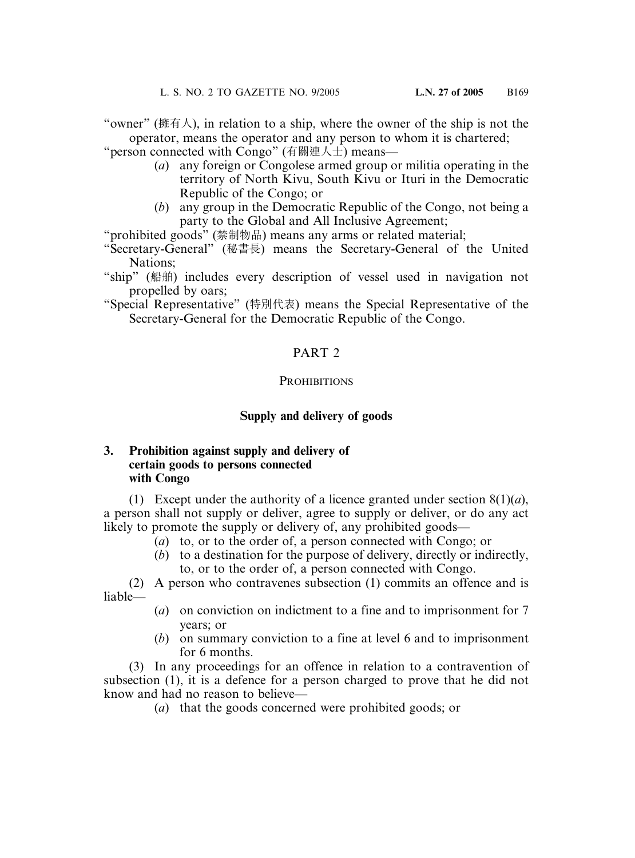"owner" (擁有人), in relation to a ship, where the owner of the ship is not the operator, means the operator and any person to whom it is chartered;

"person connected with Congo" (有關連人士) means—

- (*a*) any foreign or Congolese armed group or militia operating in the territory of North Kivu, South Kivu or Ituri in the Democratic Republic of the Congo; or
- (*b*) any group in the Democratic Republic of the Congo, not being a party to the Global and All Inclusive Agreement;
- "prohibited goods" (禁制物品) means any arms or related material;
- "Secretary-General" (秘書長) means the Secretary-General of the United Nations;
- "ship" (船舶) includes every description of vessel used in navigation not propelled by oars;

"Special Representative" (特別代表) means the Special Representative of the Secretary-General for the Democratic Republic of the Congo.

## PART 2

## **PROHIBITIONS**

## **Supply and delivery of goods**

## **3. Prohibition against supply and delivery of certain goods to persons connected with Congo**

(1) Except under the authority of a licence granted under section  $8(1)(a)$ , a person shall not supply or deliver, agree to supply or deliver, or do any act likely to promote the supply or delivery of, any prohibited goods—

- (*a*) to, or to the order of, a person connected with Congo; or
- (*b*) to a destination for the purpose of delivery, directly or indirectly, to, or to the order of, a person connected with Congo.

(2) A person who contravenes subsection (1) commits an offence and is liable—

- (*a*) on conviction on indictment to a fine and to imprisonment for 7 years; or
- (*b*) on summary conviction to a fine at level 6 and to imprisonment for 6 months.

(3) In any proceedings for an offence in relation to a contravention of subsection (1), it is a defence for a person charged to prove that he did not know and had no reason to believe—

(*a*) that the goods concerned were prohibited goods; or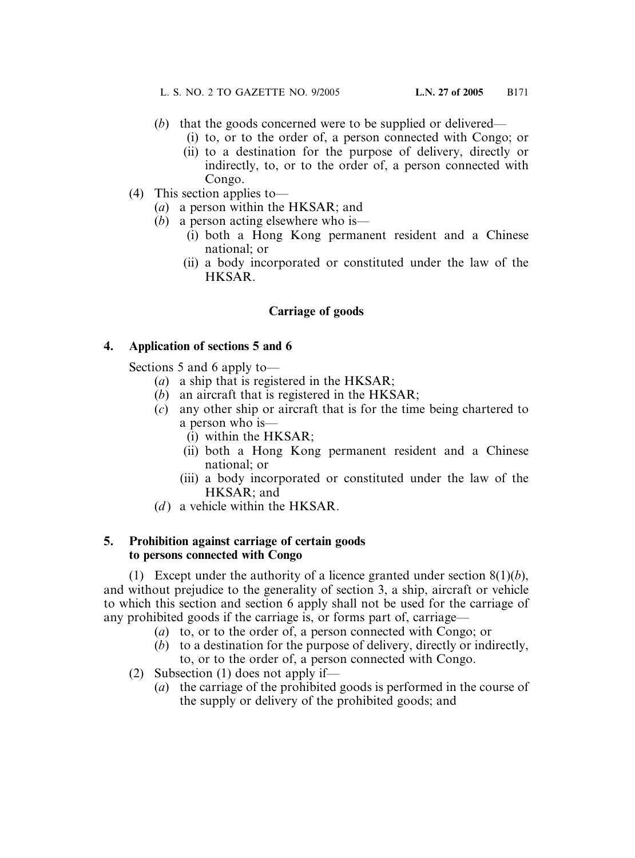- (*b*) that the goods concerned were to be supplied or delivered—
	- (i) to, or to the order of, a person connected with Congo; or
	- (ii) to a destination for the purpose of delivery, directly or indirectly, to, or to the order of, a person connected with Congo.
- (4) This section applies to—
	- (*a*) a person within the HKSAR; and
	- (*b*) a person acting elsewhere who is—
		- (i) both a Hong Kong permanent resident and a Chinese national; or
		- (ii) a body incorporated or constituted under the law of the HKSAR.

# **Carriage of goods**

## **4. Application of sections 5 and 6**

Sections 5 and 6 apply to—

- (*a*) a ship that is registered in the HKSAR;
- (*b*) an aircraft that is registered in the HKSAR;
- (*c*) any other ship or aircraft that is for the time being chartered to a person who is—
	- (i) within the HKSAR;
	- (ii) both a Hong Kong permanent resident and a Chinese national; or
	- (iii) a body incorporated or constituted under the law of the HKSAR; and
- (*d*) a vehicle within the HKSAR.

## **5. Prohibition against carriage of certain goods to persons connected with Congo**

(1) Except under the authority of a licence granted under section  $8(1)(b)$ , and without prejudice to the generality of section 3, a ship, aircraft or vehicle to which this section and section 6 apply shall not be used for the carriage of any prohibited goods if the carriage is, or forms part of, carriage—

- (*a*) to, or to the order of, a person connected with Congo; or
- (*b*) to a destination for the purpose of delivery, directly or indirectly, to, or to the order of, a person connected with Congo.
- (2) Subsection (1) does not apply if—
	- (*a*) the carriage of the prohibited goods is performed in the course of the supply or delivery of the prohibited goods; and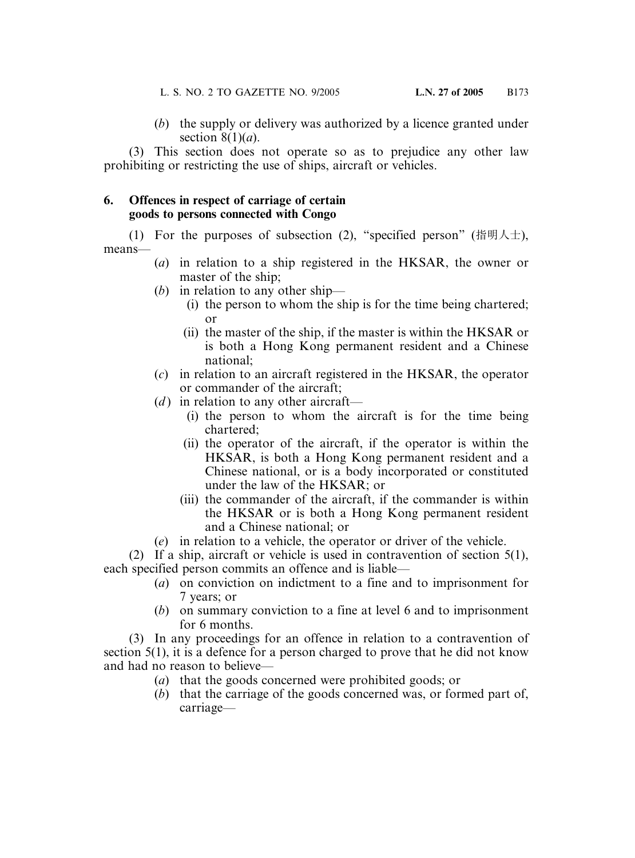(*b*) the supply or delivery was authorized by a licence granted under section  $8(1)(a)$ .

(3) This section does not operate so as to prejudice any other law prohibiting or restricting the use of ships, aircraft or vehicles.

## **6. Offences in respect of carriage of certain goods to persons connected with Congo**

(1) For the purposes of subsection (2), "specified person" (指明人士), means—

- (*a*) in relation to a ship registered in the HKSAR, the owner or master of the ship;
- (*b*) in relation to any other ship—
	- (i) the person to whom the ship is for the time being chartered; or
	- (ii) the master of the ship, if the master is within the HKSAR or is both a Hong Kong permanent resident and a Chinese national;
- (*c*) in relation to an aircraft registered in the HKSAR, the operator or commander of the aircraft;
- (*d*) in relation to any other aircraft—
	- (i) the person to whom the aircraft is for the time being chartered;
	- (ii) the operator of the aircraft, if the operator is within the HKSAR, is both a Hong Kong permanent resident and a Chinese national, or is a body incorporated or constituted under the law of the HKSAR; or
	- (iii) the commander of the aircraft, if the commander is within the HKSAR or is both a Hong Kong permanent resident and a Chinese national; or
- (*e*) in relation to a vehicle, the operator or driver of the vehicle.

(2) If a ship, aircraft or vehicle is used in contravention of section 5(1), each specified person commits an offence and is liable—

- (*a*) on conviction on indictment to a fine and to imprisonment for 7 years; or
- (*b*) on summary conviction to a fine at level 6 and to imprisonment for 6 months.

(3) In any proceedings for an offence in relation to a contravention of section 5(1), it is a defence for a person charged to prove that he did not know and had no reason to believe—

- (*a*) that the goods concerned were prohibited goods; or
	- (*b*) that the carriage of the goods concerned was, or formed part of, carriage—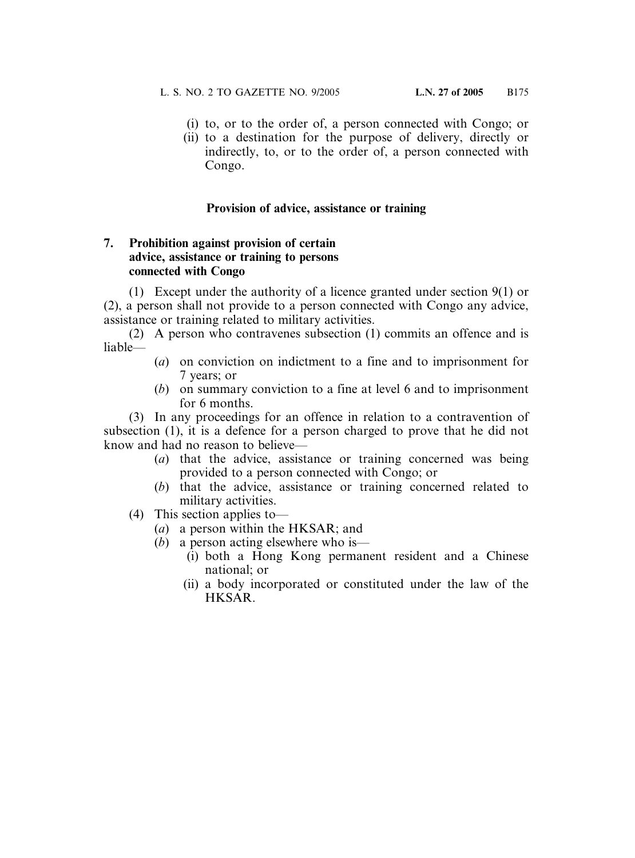- (i) to, or to the order of, a person connected with Congo; or
- (ii) to a destination for the purpose of delivery, directly or indirectly, to, or to the order of, a person connected with Congo.

## **Provision of advice, assistance or training**

## **7. Prohibition against provision of certain advice, assistance or training to persons connected with Congo**

(1) Except under the authority of a licence granted under section 9(1) or (2), a person shall not provide to a person connected with Congo any advice, assistance or training related to military activities.

(2) A person who contravenes subsection (1) commits an offence and is liable—

- (*a*) on conviction on indictment to a fine and to imprisonment for 7 years; or
- (*b*) on summary conviction to a fine at level 6 and to imprisonment for 6 months.

(3) In any proceedings for an offence in relation to a contravention of subsection (1), it is a defence for a person charged to prove that he did not know and had no reason to believe—

- (*a*) that the advice, assistance or training concerned was being provided to a person connected with Congo; or
- (*b*) that the advice, assistance or training concerned related to military activities.
- (4) This section applies to—
	- (*a*) a person within the HKSAR; and
	- (*b*) a person acting elsewhere who is—
		- (i) both a Hong Kong permanent resident and a Chinese national; or
		- (ii) a body incorporated or constituted under the law of the HKSAR.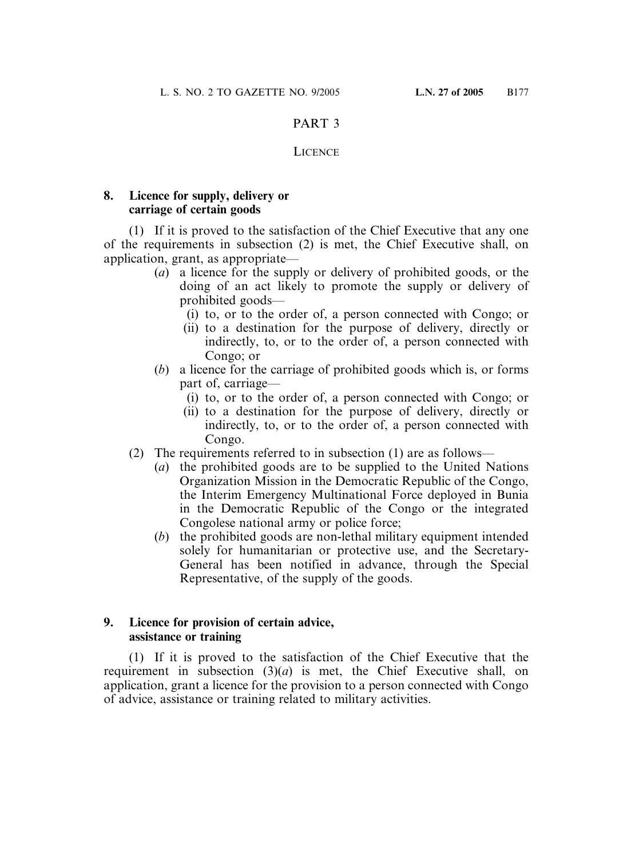## PART 3

## LICENCE

## **8. Licence for supply, delivery or carriage of certain goods**

(1) If it is proved to the satisfaction of the Chief Executive that any one of the requirements in subsection (2) is met, the Chief Executive shall, on application, grant, as appropriate—

- (*a*) a licence for the supply or delivery of prohibited goods, or the doing of an act likely to promote the supply or delivery of prohibited goods—
	- (i) to, or to the order of, a person connected with Congo; or
	- (ii) to a destination for the purpose of delivery, directly or indirectly, to, or to the order of, a person connected with Congo; or
- (*b*) a licence for the carriage of prohibited goods which is, or forms part of, carriage—
	- (i) to, or to the order of, a person connected with Congo; or
	- (ii) to a destination for the purpose of delivery, directly or indirectly, to, or to the order of, a person connected with Congo.
- (2) The requirements referred to in subsection (1) are as follows—
	- (*a*) the prohibited goods are to be supplied to the United Nations Organization Mission in the Democratic Republic of the Congo, the Interim Emergency Multinational Force deployed in Bunia in the Democratic Republic of the Congo or the integrated Congolese national army or police force;
	- (*b*) the prohibited goods are non-lethal military equipment intended solely for humanitarian or protective use, and the Secretary-General has been notified in advance, through the Special Representative, of the supply of the goods.

## **9. Licence for provision of certain advice, assistance or training**

(1) If it is proved to the satisfaction of the Chief Executive that the requirement in subsection  $(3)(a)$  is met, the Chief Executive shall, on application, grant a licence for the provision to a person connected with Congo of advice, assistance or training related to military activities.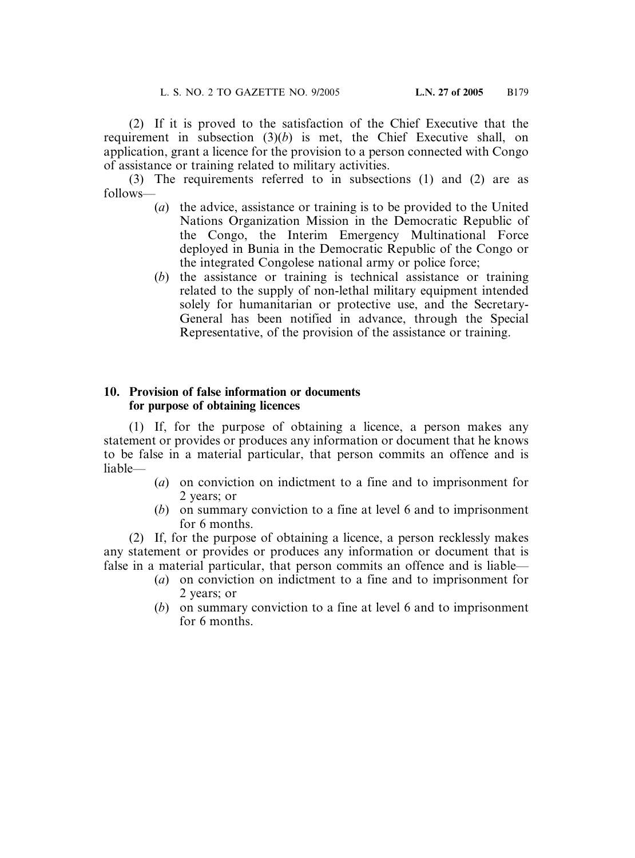(2) If it is proved to the satisfaction of the Chief Executive that the requirement in subsection (3)(*b*) is met, the Chief Executive shall, on application, grant a licence for the provision to a person connected with Congo of assistance or training related to military activities.

(3) The requirements referred to in subsections (1) and (2) are as follows—

- (*a*) the advice, assistance or training is to be provided to the United Nations Organization Mission in the Democratic Republic of the Congo, the Interim Emergency Multinational Force deployed in Bunia in the Democratic Republic of the Congo or the integrated Congolese national army or police force;
- (*b*) the assistance or training is technical assistance or training related to the supply of non-lethal military equipment intended solely for humanitarian or protective use, and the Secretary-General has been notified in advance, through the Special Representative, of the provision of the assistance or training.

## **10. Provision of false information or documents for purpose of obtaining licences**

(1) If, for the purpose of obtaining a licence, a person makes any statement or provides or produces any information or document that he knows to be false in a material particular, that person commits an offence and is liable—

- (*a*) on conviction on indictment to a fine and to imprisonment for 2 years; or
- (*b*) on summary conviction to a fine at level 6 and to imprisonment for 6 months.

(2) If, for the purpose of obtaining a licence, a person recklessly makes any statement or provides or produces any information or document that is false in a material particular, that person commits an offence and is liable—

- (*a*) on conviction on indictment to a fine and to imprisonment for 2 years; or
- (*b*) on summary conviction to a fine at level 6 and to imprisonment for 6 months.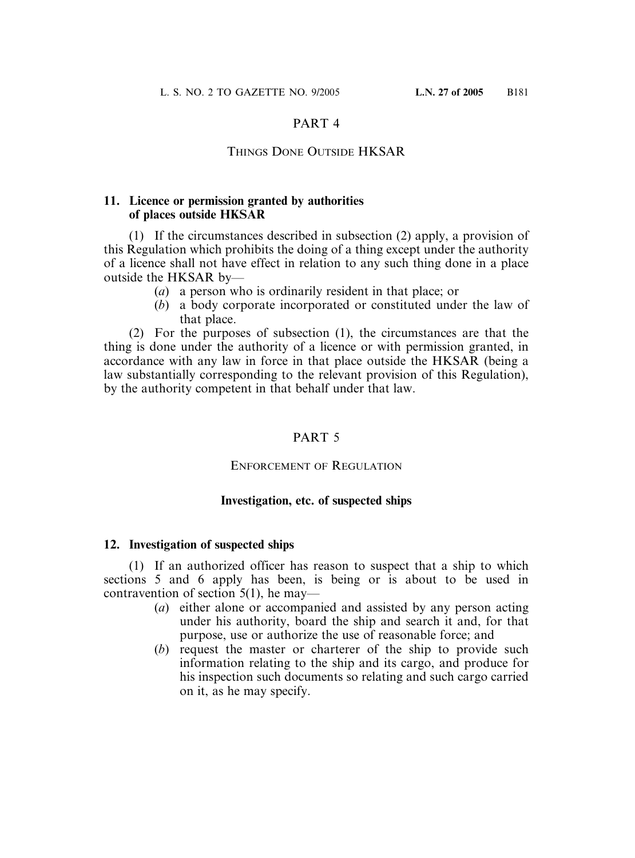## PART 4

## THINGS DONE OUTSIDE HKSAR

## **11. Licence or permission granted by authorities of places outside HKSAR**

(1) If the circumstances described in subsection (2) apply, a provision of this Regulation which prohibits the doing of a thing except under the authority of a licence shall not have effect in relation to any such thing done in a place outside the HKSAR by—

- (*a*) a person who is ordinarily resident in that place; or
- (*b*) a body corporate incorporated or constituted under the law of that place.

(2) For the purposes of subsection (1), the circumstances are that the thing is done under the authority of a licence or with permission granted, in accordance with any law in force in that place outside the HKSAR (being a law substantially corresponding to the relevant provision of this Regulation), by the authority competent in that behalf under that law.

## PART 5

## ENFORCEMENT OF REGULATION

## **Investigation, etc. of suspected ships**

## **12. Investigation of suspected ships**

(1) If an authorized officer has reason to suspect that a ship to which sections 5 and 6 apply has been, is being or is about to be used in contravention of section 5(1), he may—

- (*a*) either alone or accompanied and assisted by any person acting under his authority, board the ship and search it and, for that purpose, use or authorize the use of reasonable force; and
- (*b*) request the master or charterer of the ship to provide such information relating to the ship and its cargo, and produce for his inspection such documents so relating and such cargo carried on it, as he may specify.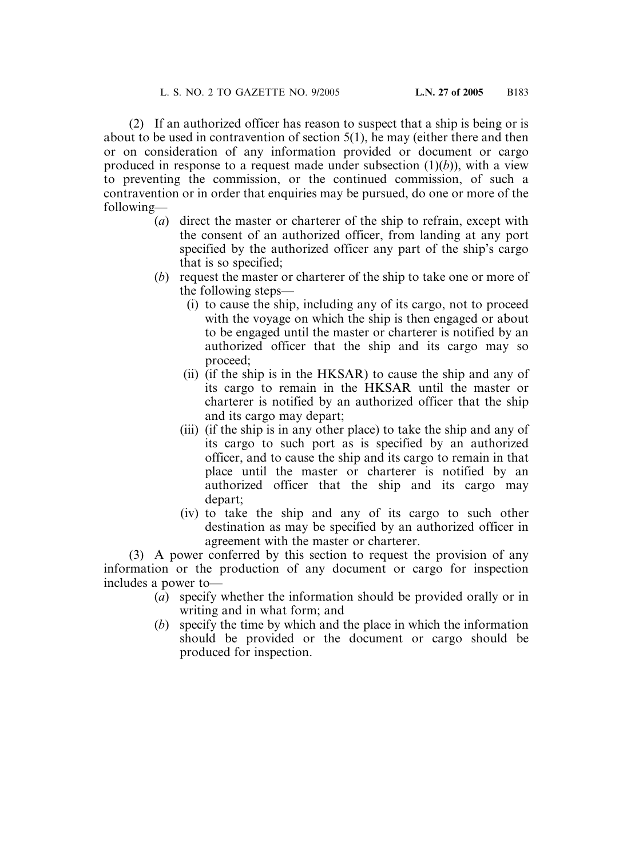(2) If an authorized officer has reason to suspect that a ship is being or is about to be used in contravention of section 5(1), he may (either there and then or on consideration of any information provided or document or cargo produced in response to a request made under subsection  $(1)(b)$ , with a view to preventing the commission, or the continued commission, of such a contravention or in order that enquiries may be pursued, do one or more of the following—

- (*a*) direct the master or charterer of the ship to refrain, except with the consent of an authorized officer, from landing at any port specified by the authorized officer any part of the ship's cargo that is so specified;
- (*b*) request the master or charterer of the ship to take one or more of the following steps—
	- (i) to cause the ship, including any of its cargo, not to proceed with the voyage on which the ship is then engaged or about to be engaged until the master or charterer is notified by an authorized officer that the ship and its cargo may so proceed;
	- (ii) (if the ship is in the HKSAR) to cause the ship and any of its cargo to remain in the HKSAR until the master or charterer is notified by an authorized officer that the ship and its cargo may depart;
	- (iii) (if the ship is in any other place) to take the ship and any of its cargo to such port as is specified by an authorized officer, and to cause the ship and its cargo to remain in that place until the master or charterer is notified by an authorized officer that the ship and its cargo may depart;
	- (iv) to take the ship and any of its cargo to such other destination as may be specified by an authorized officer in agreement with the master or charterer.

(3) A power conferred by this section to request the provision of any information or the production of any document or cargo for inspection includes a power to—

- (*a*) specify whether the information should be provided orally or in writing and in what form; and
- (*b*) specify the time by which and the place in which the information should be provided or the document or cargo should be produced for inspection.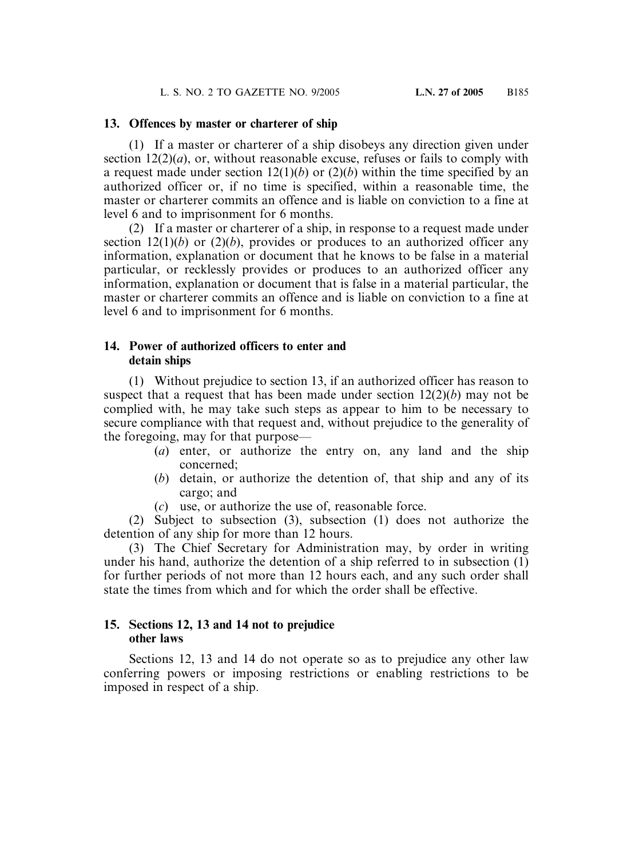# **13. Offences by master or charterer of ship**

(1) If a master or charterer of a ship disobeys any direction given under section  $12(2)(a)$ , or, without reasonable excuse, refuses or fails to comply with a request made under section  $12(1)(b)$  or  $(2)(b)$  within the time specified by an authorized officer or, if no time is specified, within a reasonable time, the master or charterer commits an offence and is liable on conviction to a fine at level 6 and to imprisonment for 6 months.

(2) If a master or charterer of a ship, in response to a request made under section  $12(1)(b)$  or  $(2)(b)$ , provides or produces to an authorized officer any information, explanation or document that he knows to be false in a material particular, or recklessly provides or produces to an authorized officer any information, explanation or document that is false in a material particular, the master or charterer commits an offence and is liable on conviction to a fine at level 6 and to imprisonment for 6 months.

## **14. Power of authorized officers to enter and detain ships**

(1) Without prejudice to section 13, if an authorized officer has reason to suspect that a request that has been made under section 12(2)(*b*) may not be complied with, he may take such steps as appear to him to be necessary to secure compliance with that request and, without prejudice to the generality of the foregoing, may for that purpose—

- (*a*) enter, or authorize the entry on, any land and the ship concerned;
- (*b*) detain, or authorize the detention of, that ship and any of its cargo; and
- (*c*) use, or authorize the use of, reasonable force.

(2) Subject to subsection (3), subsection (1) does not authorize the detention of any ship for more than 12 hours.

(3) The Chief Secretary for Administration may, by order in writing under his hand, authorize the detention of a ship referred to in subsection (1) for further periods of not more than 12 hours each, and any such order shall state the times from which and for which the order shall be effective.

## **15. Sections 12, 13 and 14 not to prejudice other laws**

Sections 12, 13 and 14 do not operate so as to prejudice any other law conferring powers or imposing restrictions or enabling restrictions to be imposed in respect of a ship.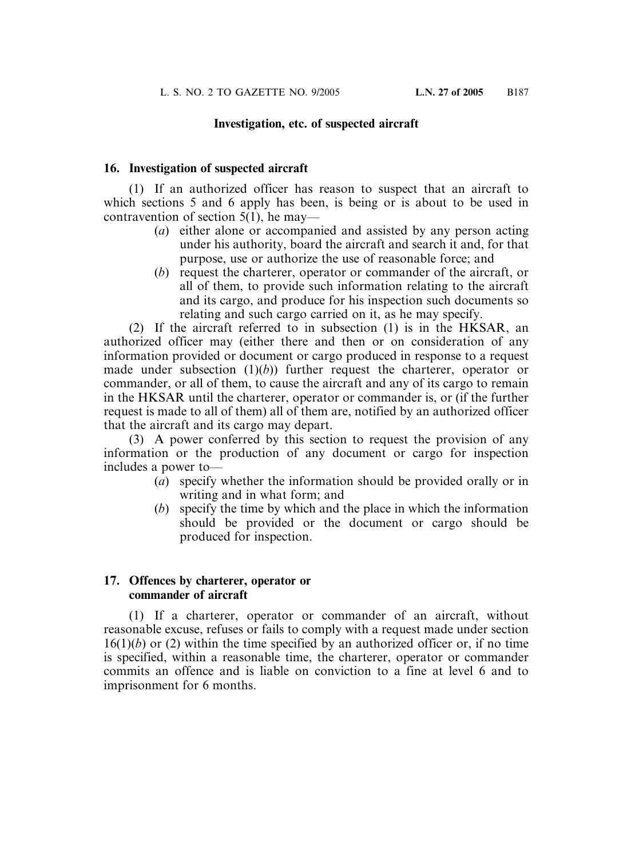## **Investigation, etc. of suspected aircraft**

## **16. Investigation of suspected aircraft**

(1) If an authorized officer has reason to suspect that an aircraft to which sections 5 and 6 apply has been, is being or is about to be used in contravention of section 5(1), he may—

- (*a*) either alone or accompanied and assisted by any person acting under his authority, board the aircraft and search it and, for that purpose, use or authorize the use of reasonable force; and
- (*b*) request the charterer, operator or commander of the aircraft, or all of them, to provide such information relating to the aircraft and its cargo, and produce for his inspection such documents so relating and such cargo carried on it, as he may specify.

(2) If the aircraft referred to in subsection (1) is in the HKSAR, an authorized officer may (either there and then or on consideration of any information provided or document or cargo produced in response to a request made under subsection  $(1)(b)$ ) further request the charterer, operator or commander, or all of them, to cause the aircraft and any of its cargo to remain in the HKSAR until the charterer, operator or commander is, or (if the further request is made to all of them) all of them are, notified by an authorized officer that the aircraft and its cargo may depart.

(3) A power conferred by this section to request the provision of any information or the production of any document or cargo for inspection includes a power to—

- (*a*) specify whether the information should be provided orally or in writing and in what form; and
- (*b*) specify the time by which and the place in which the information should be provided or the document or cargo should be produced for inspection.

#### **17. Offences by charterer, operator or commander of aircraft**

(1) If a charterer, operator or commander of an aircraft, without reasonable excuse, refuses or fails to comply with a request made under section  $16(1)(b)$  or (2) within the time specified by an authorized officer or, if no time is specified, within a reasonable time, the charterer, operator or commander commits an offence and is liable on conviction to a fine at level 6 and to imprisonment for 6 months.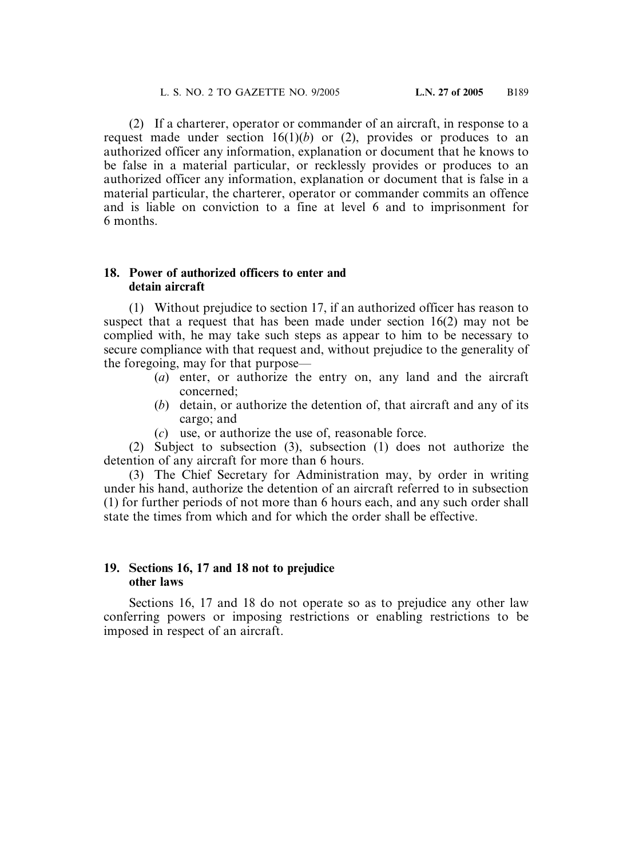(2) If a charterer, operator or commander of an aircraft, in response to a request made under section  $16(1)(b)$  or (2), provides or produces to an authorized officer any information, explanation or document that he knows to be false in a material particular, or recklessly provides or produces to an authorized officer any information, explanation or document that is false in a material particular, the charterer, operator or commander commits an offence and is liable on conviction to a fine at level 6 and to imprisonment for 6 months.

## **18. Power of authorized officers to enter and detain aircraft**

(1) Without prejudice to section 17, if an authorized officer has reason to suspect that a request that has been made under section 16(2) may not be complied with, he may take such steps as appear to him to be necessary to secure compliance with that request and, without prejudice to the generality of the foregoing, may for that purpose—

- (*a*) enter, or authorize the entry on, any land and the aircraft concerned;
- (*b*) detain, or authorize the detention of, that aircraft and any of its cargo; and
- (*c*) use, or authorize the use of, reasonable force.

(2) Subject to subsection (3), subsection (1) does not authorize the detention of any aircraft for more than 6 hours.

(3) The Chief Secretary for Administration may, by order in writing under his hand, authorize the detention of an aircraft referred to in subsection (1) for further periods of not more than 6 hours each, and any such order shall state the times from which and for which the order shall be effective.

## **19. Sections 16, 17 and 18 not to prejudice other laws**

Sections 16, 17 and 18 do not operate so as to prejudice any other law conferring powers or imposing restrictions or enabling restrictions to be imposed in respect of an aircraft.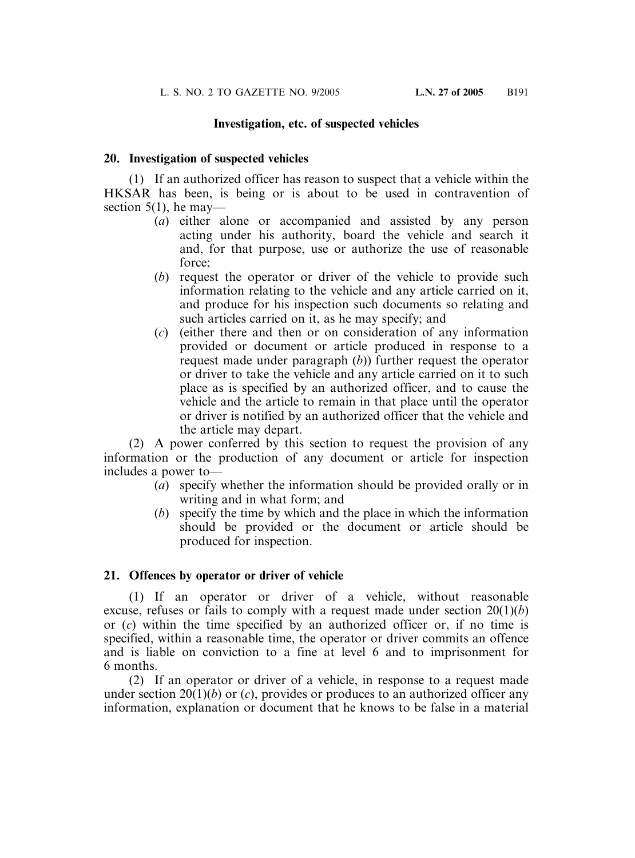## **Investigation, etc. of suspected vehicles**

#### **20. Investigation of suspected vehicles**

(1) If an authorized officer has reason to suspect that a vehicle within the HKSAR has been, is being or is about to be used in contravention of section 5(1), he may—

- (*a*) either alone or accompanied and assisted by any person acting under his authority, board the vehicle and search it and, for that purpose, use or authorize the use of reasonable force;
- (*b*) request the operator or driver of the vehicle to provide such information relating to the vehicle and any article carried on it, and produce for his inspection such documents so relating and such articles carried on it, as he may specify; and
- (*c*) (either there and then or on consideration of any information provided or document or article produced in response to a request made under paragraph (*b*)) further request the operator or driver to take the vehicle and any article carried on it to such place as is specified by an authorized officer, and to cause the vehicle and the article to remain in that place until the operator or driver is notified by an authorized officer that the vehicle and the article may depart.

(2) A power conferred by this section to request the provision of any information or the production of any document or article for inspection includes a power to—

- (*a*) specify whether the information should be provided orally or in writing and in what form; and
- (*b*) specify the time by which and the place in which the information should be provided or the document or article should be produced for inspection.

## **21. Offences by operator or driver of vehicle**

(1) If an operator or driver of a vehicle, without reasonable excuse, refuses or fails to comply with a request made under section 20(1)(*b*) or (*c*) within the time specified by an authorized officer or, if no time is specified, within a reasonable time, the operator or driver commits an offence and is liable on conviction to a fine at level 6 and to imprisonment for 6 months.

(2) If an operator or driver of a vehicle, in response to a request made under section  $20(1)(b)$  or (*c*), provides or produces to an authorized officer any information, explanation or document that he knows to be false in a material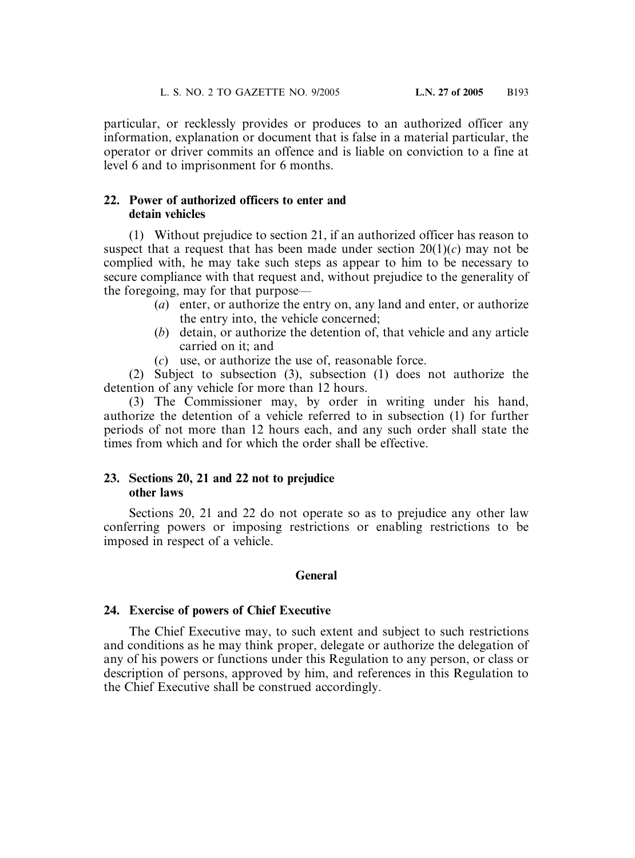particular, or recklessly provides or produces to an authorized officer any information, explanation or document that is false in a material particular, the operator or driver commits an offence and is liable on conviction to a fine at level 6 and to imprisonment for 6 months.

## **22. Power of authorized officers to enter and detain vehicles**

(1) Without prejudice to section 21, if an authorized officer has reason to suspect that a request that has been made under section  $20(1)(c)$  may not be complied with, he may take such steps as appear to him to be necessary to secure compliance with that request and, without prejudice to the generality of the foregoing, may for that purpose—

- (*a*) enter, or authorize the entry on, any land and enter, or authorize the entry into, the vehicle concerned;
- (*b*) detain, or authorize the detention of, that vehicle and any article carried on it; and
- (*c*) use, or authorize the use of, reasonable force.

(2) Subject to subsection (3), subsection (1) does not authorize the detention of any vehicle for more than 12 hours.

(3) The Commissioner may, by order in writing under his hand, authorize the detention of a vehicle referred to in subsection (1) for further periods of not more than 12 hours each, and any such order shall state the times from which and for which the order shall be effective.

## **23. Sections 20, 21 and 22 not to prejudice other laws**

Sections 20, 21 and 22 do not operate so as to prejudice any other law conferring powers or imposing restrictions or enabling restrictions to be imposed in respect of a vehicle.

#### **General**

#### **24. Exercise of powers of Chief Executive**

The Chief Executive may, to such extent and subject to such restrictions and conditions as he may think proper, delegate or authorize the delegation of any of his powers or functions under this Regulation to any person, or class or description of persons, approved by him, and references in this Regulation to the Chief Executive shall be construed accordingly.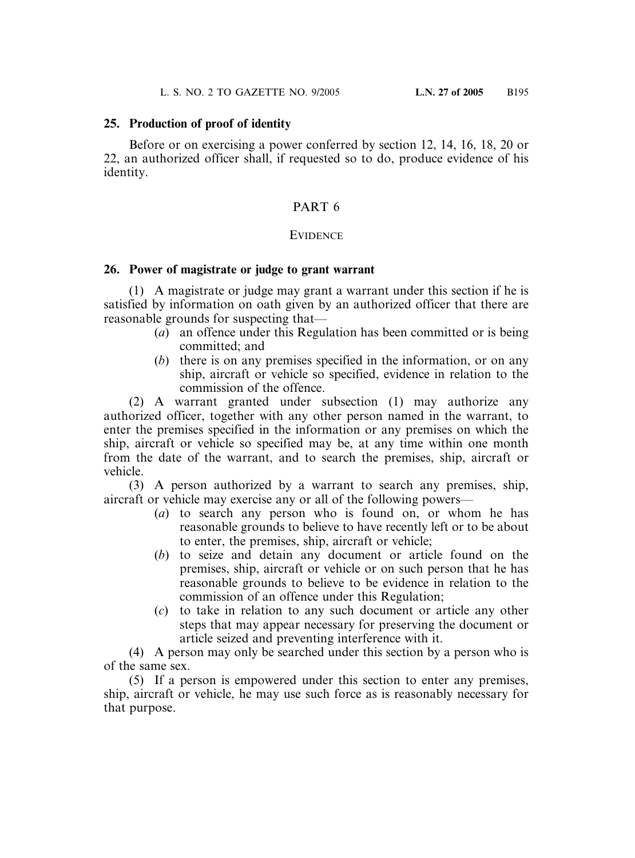#### **25. Production of proof of identity**

Before or on exercising a power conferred by section 12, 14, 16, 18, 20 or 22, an authorized officer shall, if requested so to do, produce evidence of his identity.

## PART 6

## **EVIDENCE**

## **26. Power of magistrate or judge to grant warrant**

(1) A magistrate or judge may grant a warrant under this section if he is satisfied by information on oath given by an authorized officer that there are reasonable grounds for suspecting that—

- (*a*) an offence under this Regulation has been committed or is being committed; and
- (*b*) there is on any premises specified in the information, or on any ship, aircraft or vehicle so specified, evidence in relation to the commission of the offence.

(2) A warrant granted under subsection (1) may authorize any authorized officer, together with any other person named in the warrant, to enter the premises specified in the information or any premises on which the ship, aircraft or vehicle so specified may be, at any time within one month from the date of the warrant, and to search the premises, ship, aircraft or vehicle.

(3) A person authorized by a warrant to search any premises, ship, aircraft or vehicle may exercise any or all of the following powers—

- (*a*) to search any person who is found on, or whom he has reasonable grounds to believe to have recently left or to be about to enter, the premises, ship, aircraft or vehicle;
- (*b*) to seize and detain any document or article found on the premises, ship, aircraft or vehicle or on such person that he has reasonable grounds to believe to be evidence in relation to the commission of an offence under this Regulation;
- (*c*) to take in relation to any such document or article any other steps that may appear necessary for preserving the document or article seized and preventing interference with it.

(4) A person may only be searched under this section by a person who is of the same sex.

(5) If a person is empowered under this section to enter any premises, ship, aircraft or vehicle, he may use such force as is reasonably necessary for that purpose.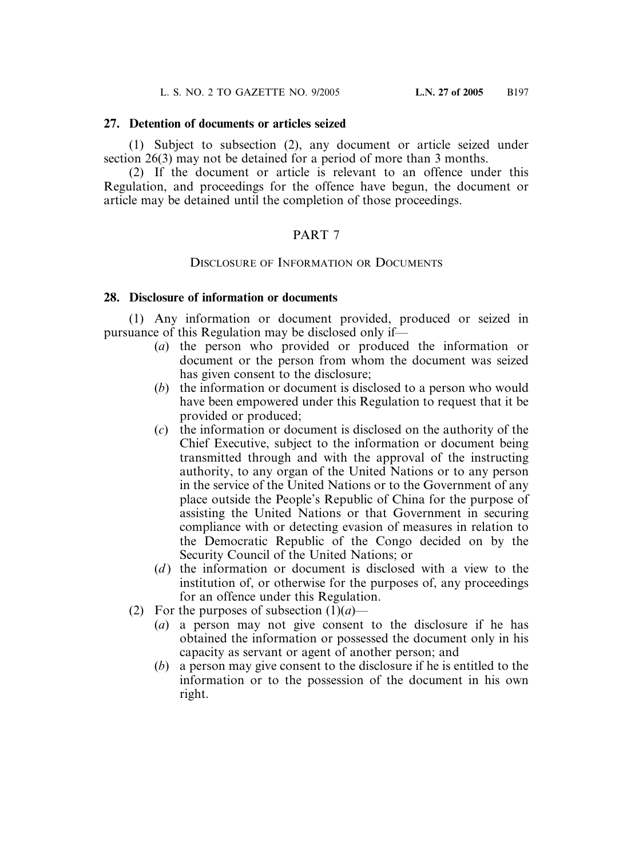#### **27. Detention of documents or articles seized**

(1) Subject to subsection (2), any document or article seized under section 26(3) may not be detained for a period of more than 3 months.

(2) If the document or article is relevant to an offence under this Regulation, and proceedings for the offence have begun, the document or article may be detained until the completion of those proceedings.

## PART 7

#### DISCLOSURE OF INFORMATION OR DOCUMENTS

#### **28. Disclosure of information or documents**

(1) Any information or document provided, produced or seized in pursuance of this Regulation may be disclosed only if—

- (*a*) the person who provided or produced the information or document or the person from whom the document was seized has given consent to the disclosure;
- (*b*) the information or document is disclosed to a person who would have been empowered under this Regulation to request that it be provided or produced;
- (*c*) the information or document is disclosed on the authority of the Chief Executive, subject to the information or document being transmitted through and with the approval of the instructing authority, to any organ of the United Nations or to any person in the service of the United Nations or to the Government of any place outside the People's Republic of China for the purpose of assisting the United Nations or that Government in securing compliance with or detecting evasion of measures in relation to the Democratic Republic of the Congo decided on by the Security Council of the United Nations; or
- (*d*) the information or document is disclosed with a view to the institution of, or otherwise for the purposes of, any proceedings for an offence under this Regulation.
- (2) For the purposes of subsection  $(1)(a)$ 
	- (*a*) a person may not give consent to the disclosure if he has obtained the information or possessed the document only in his capacity as servant or agent of another person; and
	- (*b*) a person may give consent to the disclosure if he is entitled to the information or to the possession of the document in his own right.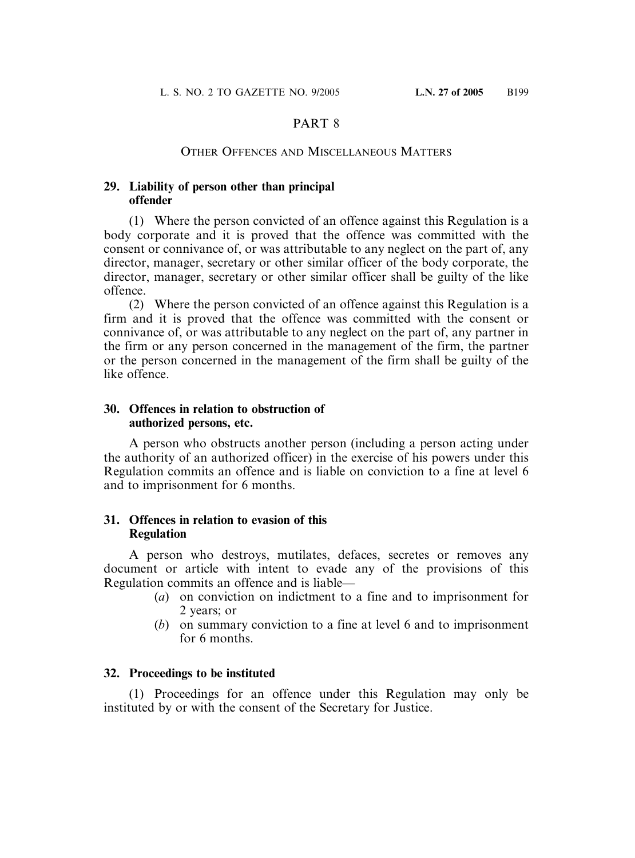## PART 8

#### OTHER OFFENCES AND MISCELLANEOUS MATTERS

## **29. Liability of person other than principal offender**

(1) Where the person convicted of an offence against this Regulation is a body corporate and it is proved that the offence was committed with the consent or connivance of, or was attributable to any neglect on the part of, any director, manager, secretary or other similar officer of the body corporate, the director, manager, secretary or other similar officer shall be guilty of the like offence.

(2) Where the person convicted of an offence against this Regulation is a firm and it is proved that the offence was committed with the consent or connivance of, or was attributable to any neglect on the part of, any partner in the firm or any person concerned in the management of the firm, the partner or the person concerned in the management of the firm shall be guilty of the like offence.

## **30. Offences in relation to obstruction of authorized persons, etc.**

A person who obstructs another person (including a person acting under the authority of an authorized officer) in the exercise of his powers under this Regulation commits an offence and is liable on conviction to a fine at level 6 and to imprisonment for 6 months.

## **31. Offences in relation to evasion of this Regulation**

A person who destroys, mutilates, defaces, secretes or removes any document or article with intent to evade any of the provisions of this Regulation commits an offence and is liable—

- (*a*) on conviction on indictment to a fine and to imprisonment for 2 years; or
- (*b*) on summary conviction to a fine at level 6 and to imprisonment for 6 months.

## **32. Proceedings to be instituted**

(1) Proceedings for an offence under this Regulation may only be instituted by or with the consent of the Secretary for Justice.